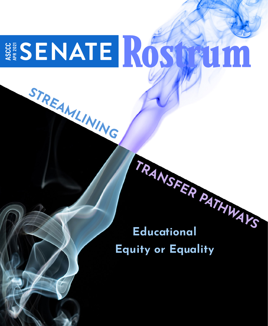# SENATE ROS TALIM APR 2021

**STREAMLINING** 

# **TRANSFER PATHWAYS Educational Equity or Equality**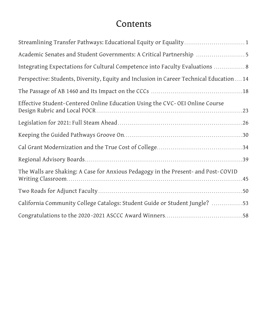# **Contents**

| Streamlining Transfer Pathways: Educational Equity or Equality 1                        |
|-----------------------------------------------------------------------------------------|
| Academic Senates and Student Governments: A Critical Partnership 5                      |
| Integrating Expectations for Cultural Competence into Faculty Evaluations  8            |
| Perspective: Students, Diversity, Equity and Inclusion in Career Technical Education 14 |
|                                                                                         |
| Effective Student-Centered Online Education Using the CVC-OEI Online Course             |
|                                                                                         |
|                                                                                         |
|                                                                                         |
|                                                                                         |
| The Walls are Shaking: A Case for Anxious Pedagogy in the Present- and Post-COVID       |
|                                                                                         |
| California Community College Catalogs: Student Guide or Student Jungle? 53              |
|                                                                                         |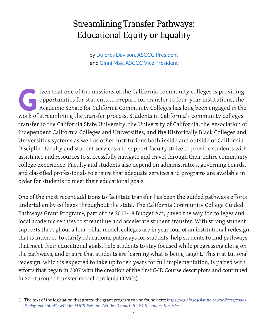# <span id="page-2-0"></span>Streamlining Transfer Pathways: Educational Equity or Equality

by Dolores Davison, ASCCC President and Ginni May, ASCCC Vice President

Iven that one of the missions of the California community colleges is providing<br>opportunities for students to prepare for transfer to four-year institutions, the<br>Academic Senate for California Community Colleges has long b opportunities for students to prepare for transfer to four-year institutions, the Academic Senate for California Community Colleges has long been engaged in the work of streamlining the transfer process. Students in California's community colleges transfer to the California State University, the University of California, the Association of Independent California Colleges and Universities, and the Historically Black Colleges and Universities systems as well as other institutions both inside and outside of California. Discipline faculty and student services and support faculty strive to provide students with assistance and resources to successfully navigate and travel through their entire community college experience. Faculty and students also depend on administrators, governing boards, and classified professionals to ensure that adequate services and programs are available in order for students to meet their educational goals.

One of the most recent additions to facilitate transfer has been the guided pathways efforts undertaken by colleges throughout the state. The California Community College Guided Pathways Grant Program**1**, part of the 2017-18 Budget Act, paved the way for colleges and local academic senates to streamline and accelerate student transfer. With strong student supports throughout a four-pillar model, colleges are in year four of an institutional redesign that is intended to clarify educational pathways for students, help students to find pathways that meet their educational goals, help students to stay focused while progressing along on the pathways, and ensure that students are learning what is being taught. This institutional redesign, which is expected to take up to ten years for full implementation, is paired with efforts that began in 2007 with the creation of the first C-ID Course descriptors and continued in 2010 around transfer model curricula (TMCs).

<sup>1</sup> The text of the legislation that grated the grant program can be found here: *[https://leginfo.legislature.ca.gov/faces/codes\\_](https://leginfo.legislature.ca.gov/faces/codes_displayText.xhtml?lawCode=EDC&division=7.&title=3.&part=54.81.&chapter=&article=) [displayText.xhtml?lawCode=EDC&division=7.&title=3.&part=54.81.&chapter=&article=](https://leginfo.legislature.ca.gov/faces/codes_displayText.xhtml?lawCode=EDC&division=7.&title=3.&part=54.81.&chapter=&article=)*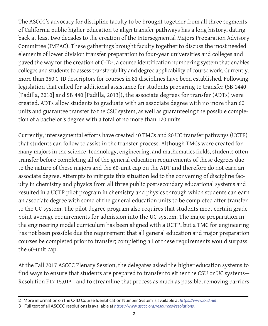The ASCCC's advocacy for discipline faculty to be brought together from all three segments of California public higher education to align transfer pathways has a long history, dating back at least two decades to the creation of the Intersegmental Majors Preparation Advisory Committee (IMPAC). These gatherings brought faculty together to discuss the most needed elements of lower division transfer preparation to four-year universities and colleges and paved the way for the creation of C-ID**2**, a course identification numbering system that enables colleges and students to assess transferability and degree applicability of course work. Currently, more than 350 C-ID descriptors for courses in 81 disciplines have been established. Following legislation that called for additional assistance for students preparing to transfer (SB 1440 [Padilla, 2010] and SB 440 [Padilla, 2013]), the associate degrees for transfer (ADTs) were created. ADTs allow students to graduate with an associate degree with no more than 60 units and guarantee transfer to the CSU system, as well as guaranteeing the possible completion of a bachelor's degree with a total of no more than 120 units.

Currently, intersegmental efforts have created 40 TMCs and 20 UC transfer pathways (UCTP) that students can follow to assist in the transfer process. Although TMCs were created for many majors in the science, technology, engineering, and mathematics fields, students often transfer before completing all of the general education requirements of these degrees due to the nature of these majors and the 60-unit cap on the ADT and therefore do not earn an associate degree. Attempts to mitigate this situation led to the convening of discipline faculty in chemistry and physics from all three public postsecondary educational systems and resulted in a UCTP pilot program in chemistry and physics through which students can earn an associate degree with some of the general education units to be completed after transfer to the UC system. The pilot degree program also requires that students meet certain grade point average requirements for admission into the UC system. The major preparation in the engineering model curriculum has been aligned with a UCTP, but a TMC for engineering has not been possible due the requirement that all general education and major preparation courses be completed prior to transfer; completing all of these requirements would surpass the 60-unit cap.

At the Fall 2017 ASCCC Plenary Session, the delegates asked the higher education systems to find ways to ensure that students are prepared to transfer to either the CSU or UC systems— Resolution [F17 15.01](https://www.asccc.org/resolutions/aligning-transfer-pathways-california-state-university-and-university-california-systems)**3**—and to streamline that process as much as possible, removing barriers

<sup>2</sup> More information on the C-ID Course Identification Number System is available at *<https://www.c-id.net>*.

<sup>3</sup> Full text of all ASCCC resolutions is available at *<https://www.asccc.org/resources/resolutions>*.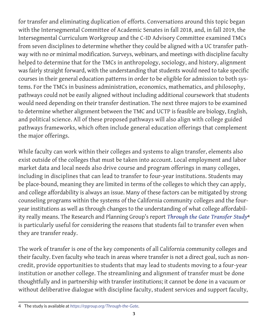for transfer and eliminating duplication of efforts. Conversations around this topic began with the Intersegmental Committee of Academic Senates in fall 2018, and, in fall 2019, the Intersegmental Curriculum Workgroup and the C-ID Advisory Committee examined TMCs from seven disciplines to determine whether they could be aligned with a UC transfer pathway with no or minimal modification. Surveys, webinars, and meetings with discipline faculty helped to determine that for the TMCs in anthropology, sociology, and history, alignment was fairly straight forward, with the understanding that students would need to take specific courses in their general education patterns in order to be eligible for admission to both systems. For the TMCs in business administration, economics, mathematics, and philosophy, pathways could not be easily aligned without including additional coursework that students would need depending on their transfer destination. The next three majors to be examined to determine whether alignment between the TMC and UCTP is feasible are biology, English, and political science. All of these proposed pathways will also align with college guided pathways frameworks, which often include general education offerings that complement the major offerings.

While faculty can work within their colleges and systems to align transfer, elements also exist outside of the colleges that must be taken into account. Local employment and labor market data and local needs also drive course and program offerings in many colleges, including in disciplines that can lead to transfer to four-year institutions. Students may be place-bound, meaning they are limited in terms of the colleges to which they can apply, and college affordability is always an issue. Many of these factors can be mitigated by strong counseling programs within the systems of the California community colleges and the fouryear institutions as well as through changes to the understanding of what college affordability really means. The Research and Planning Group's report *[Through the Gate Transfer Study](https://rpgroup.org/Through-the-Gate)***<sup>4</sup>** is particularly useful for considering the reasons that students fail to transfer even when they are transfer ready.

The work of transfer is one of the key components of all California community colleges and their faculty. Even faculty who teach in areas where transfer is not a direct goal, such as noncredit, provide opportunities to students that may lead to students moving to a four-year institution or another college. The streamlining and alignment of transfer must be done thoughtfully and in partnership with transfer institutions; it cannot be done in a vacuum or without deliberative dialogue with discipline faculty, student services and support faculty,

<sup>4</sup> The study is available at *<https://rpgroup.org/Through-the-Gate>*.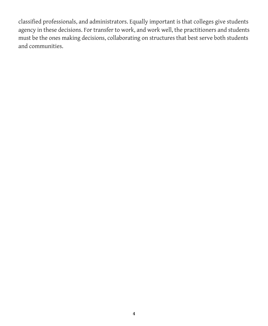classified professionals, and administrators. Equally important is that colleges give students agency in these decisions. For transfer to work, and work well, the practitioners and students must be the ones making decisions, collaborating on structures that best serve both students and communities.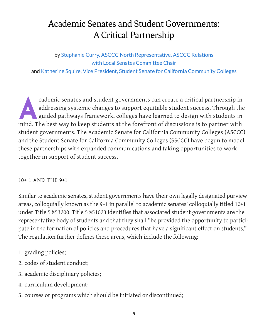# <span id="page-6-0"></span>Academic Senates and Student Governments: A Critical Partnership

## by Stephanie Curry, ASCCC North Representative, ASCCC Relations with Local Senates Committee Chair

and Katherine Squire, Vice President, Student Senate for California Community Colleges

addressing systemic changes to support equitable student success. Through the guided pathways framework, colleges have learned to design with students in addressing systemic changes to support equitable student success. Through the guided pathways framework, colleges have learned to design with students in mind. The best way to keep students at the forefront of discussions is to partner with student governments. The Academic Senate for California Community Colleges (ASCCC) and the Student Senate for California Community Colleges (SSCCC) have begun to model these partnerships with expanded communications and taking opportunities to work together in support of student success.

#### 10+ 1 AND THE 9+1

Similar to academic senates, student governments have their own legally designated purview areas, colloquially known as the 9+1 in parallel to academic senates' colloquially titled 10+1 under Title 5 §53200. Title 5 §51023 identifies that associated student governments are the representative body of students and that they shall "be provided the opportunity to participate in the formation of policies and procedures that have a significant effect on students." The regulation further defines these areas, which include the following:

- 1. grading policies;
- 2. codes of student conduct;
- 3. academic disciplinary policies;
- 4. curriculum development;
- 5. courses or programs which should be initiated or discontinued;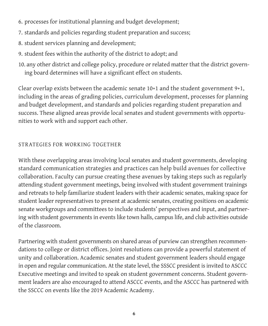- 6. processes for institutional planning and budget development;
- 7. standards and policies regarding student preparation and success;
- 8. student services planning and development;
- 9. student fees within the authority of the district to adopt; and
- 10. any other district and college policy, procedure or related matter that the district governing board determines will have a significant effect on students.

Clear overlap exists between the academic senate 10+1 and the student government 9+1, including in the areas of grading policies, curriculum development, processes for planning and budget development, and standards and policies regarding student preparation and success. These aligned areas provide local senates and student governments with opportunities to work with and support each other.

# STRATEGIES FOR WORKING TOGETHER

With these overlapping areas involving local senates and student governments, developing standard communication strategies and practices can help build avenues for collective collaboration. Faculty can pursue creating these avenues by taking steps such as regularly attending student government meetings, being involved with student government trainings and retreats to help familiarize student leaders with their academic senates, making space for student leader representatives to present at academic senates, creating positions on academic senate workgroups and committees to include students' perspectives and input, and partnering with student governments in events like town halls, campus life, and club activities outside of the classroom.

Partnering with student governments on shared areas of purview can strengthen recommendations to college or district offices. Joint resolutions can provide a powerful statement of unity and collaboration. Academic senates and student government leaders should engage in open and regular communication. At the state level, the SSSCC president is invited to ASCCC Executive meetings and invited to speak on student government concerns. Student government leaders are also encouraged to attend ASCCC events, and the ASCCC has partnered with the SSCCC on events like the 2019 Academic Academy.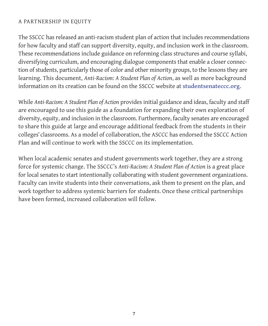#### A PARTNERSHIP IN EQUITY

The SSCCC has released an anti-racism student plan of action that includes recommendations for how faculty and staff can support diversity, equity, and inclusion work in the classroom. These recommendations include guidance on reforming class structures and course syllabi, diversifying curriculum, and encouraging dialogue components that enable a closer connection of students, particularly those of color and other minority groups, to the lessons they are learning. This document, *Anti-Racism: A Student Plan of Action*, as well as more background information on its creation can be found on the [SSCCC website](https://studentsenateccc.org/) at **[studentsenateccc.org](https://studentsenateccc.org/)**.

While *Anti-Racism: A Student Plan of Action* provides initial guidance and ideas, faculty and staff are encouraged to use this guide as a foundation for expanding their own exploration of diversity, equity, and inclusion in the classroom. Furthermore, faculty senates are encouraged to share this guide at large and encourage additional feedback from the students in their colleges' classrooms. As a model of collaboration, the ASCCC has endorsed the SSCCC Action Plan and will continue to work with the SSCCC on its implementation.

When local academic senates and student governments work together, they are a strong force for systemic change. The SSCCC's *Anti-Racism: A Student Plan of Action* is a great place for local senates to start intentionally collaborating with student government organizations. Faculty can invite students into their conversations, ask them to present on the plan, and work together to address systemic barriers for students. Once these critical partnerships have been formed, increased collaboration will follow.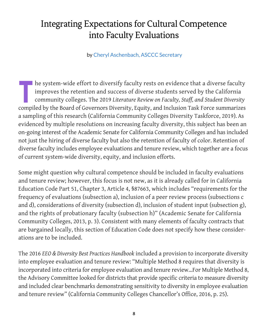# <span id="page-9-0"></span>Integrating Expectations for Cultural Competence into Faculty Evaluations

by Cheryl Aschenbach, ASCCC Secretary

The system-wide effort to diversify faculty rests on evidence that a diverse faculty<br>improves the retention and success of diverse students served by the California<br>community colleges. The 2019 Literature Review on Faculty improves the retention and success of diverse students served by the California community colleges. The 2019 *Literature Review on Faculty, Staff, and Student Diversity* compiled by the Board of Governors Diversity, Equity, and Inclusion Task Force summarizes a sampling of this research (California Community Colleges Diversity Taskforce, 2019). As evidenced by multiple resolutions on increasing faculty diversity, this subject has been an on-going interest of the Academic Senate for California Community Colleges and has included not just the hiring of diverse faculty but also the retention of faculty of color. Retention of diverse faculty includes employee evaluations and tenure review, which together are a focus of current system-wide diversity, equity, and inclusion efforts.

Some might question why cultural competence should be included in faculty evaluations and tenure review; however, this focus is not new, as it is already called for in California Education Code Part 51, Chapter 3, Article 4, §87663, which includes "requirements for the frequency of evaluations (subsection a), inclusion of a peer review process (subsections c and d), considerations of diversity (subsection d), inclusion of student input (subsection g), and the rights of probationary faculty (subsection h)" (Academic Senate for California Community Colleges, 2013, p. 3). Consistent with many elements of faculty contracts that are bargained locally, this section of Education Code does not specify how these considerations are to be included.

The 2016 *EEO & Diversity Best Practices Handbook* included a provision to incorporate diversity into employee evaluation and tenure review: "Multiple Method 8 requires that diversity is incorporated into criteria for employee evaluation and tenure review...For Multiple Method 8, the Advisory Committee looked for districts that provide specific criteria to measure diversity and included clear benchmarks demonstrating sensitivity to diversity in employee evaluation and tenure review" (California Community Colleges Chancellor's Office, 2016, p. 25).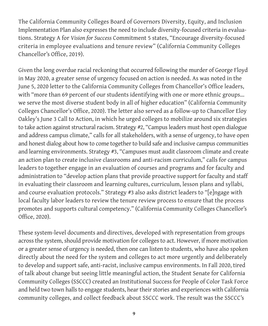The California Community Colleges Board of Governors Diversity, Equity, and Inclusion Implementation Plan also expresses the need to include diversity-focused criteria in evaluations. Strategy A for *Vision for Success* Commitment 5 states, "Encourage diversity-focused criteria in employee evaluations and tenure review" (California Community Colleges Chancellor's Office, 2019).

Given the long overdue racial reckoning that occurred following the murder of George Floyd in May 2020, a greater sense of urgency focused on action is needed. As was noted in the June 5, 2020 letter to the California Community Colleges from Chancellor's Office leaders, with "more than 69 percent of our students identifying with one or more ethnic groups... we serve the most diverse student body in all of higher education" (California Community Colleges Chancellor's Office, 2020). The letter also served as a follow-up to Chancellor Eloy Oakley's June 3 Call to Action, in which he urged colleges to mobilize around six strategies to take action against structural racism. Strategy #2, "Campus leaders must host open dialogue and address campus climate," calls for all stakeholders, with a sense of urgency, to have open and honest dialog about how to come together to build safe and inclusive campus communities and learning environments. Strategy #3, "Campuses must audit classroom climate and create an action plan to create inclusive classrooms and anti-racism curriculum," calls for campus leaders to together engage in an evaluation of courses and programs and for faculty and administration to "develop action plans that provide proactive support for faculty and staff in evaluating their classroom and learning cultures, curriculum, lesson plans and syllabi, and course evaluation protocols." Strategy #3 also asks district leaders to "[e]ngage with local faculty labor leaders to review the tenure review process to ensure that the process promotes and supports cultural competency." (California Community Colleges Chancellor's Office, 2020).

These system-level documents and directives, developed with representation from groups across the system, should provide motivation for colleges to act. However, if more motivation or a greater sense of urgency is needed, then one can listen to students, who have also spoken directly about the need for the system and colleges to act more urgently and deliberately to develop and support safe, anti-racist, inclusive campus environments. In Fall 2020, tired of talk about change but seeing little meaningful action, the Student Senate for California Community Colleges (SSCCC) created an Institutional Success for People of Color Task Force and held two town halls to engage students, hear their stories and experiences with California community colleges, and collect feedback about SSCCC work. The result was the SSCCC's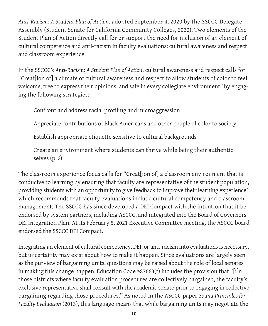*Anti-Racism: A Student Plan of Action*, adopted September 4, 2020 by the SSCCC Delegate Assembly (Student Senate for California Community Colleges, 2020). Two elements of the Student Plan of Action directly call for or support the need for inclusion of an element of cultural competence and anti-racism in faculty evaluations: cultural awareness and respect and classroom experience.

In the SSCCC's *Anti-Racism: A Student Plan of Action*, cultural awareness and respect calls for "Creat[ion of] a climate of cultural awareness and respect to allow students of color to feel welcome, free to express their opinions, and safe in every collegiate environment" by engaging the following strategies:

Confront and address racial profiling and microaggression

Appreciate contributions of Black Americans and other people of color to society

Establish appropriate etiquette sensitive to cultural backgrounds

Create an environment where students can thrive while being their authentic selves (p. 2)

The classroom experience focus calls for "Creat[ion of] a classroom environment that is conducive to learning by ensuring that faculty are representative of the student population, providing students with an opportunity to give feedback to improve their learning experience," which recommends that faculty evaluations include cultural competency and classroom management. The SSCCC has since developed a DEI Compact with the intention that it be endorsed by system partners, including ASCCC, and integrated into the Board of Governors DEI Integration Plan. At its February 5, 2021 Executive Committee meeting, the ASCCC board endorsed the SSCCC DEI Compact.

Integrating an element of cultural competency, DEI, or anti-racism into evaluations is necessary, but uncertainty may exist about how to make it happen. Since evaluations are largely seen as the purview of bargaining units, questions may be raised about the role of local senates in making this change happen. Education Code §87663(f) includes the provision that "[i]n those districts where faculty evaluation procedures are collectively bargained, the faculty's exclusive representative shall consult with the academic senate prior to engaging in collective bargaining regarding those procedures." As noted in the ASCCC paper *Sound Principles for Faculty Evaluation* (2013), this language means that while bargaining units may negotiate the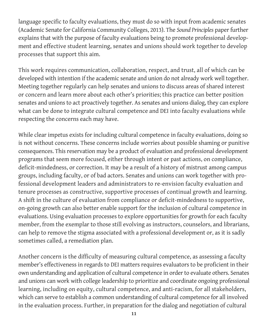language specific to faculty evaluations, they must do so with input from academic senates (Academic Senate for California Community Colleges, 2013). The *Sound Principles* paper further explains that with the purpose of faculty evaluations being to promote professional development and effective student learning, senates and unions should work together to develop processes that support this aim.

This work requires communication, collaboration, respect, and trust, all of which can be developed with intention if the academic senate and union do not already work well together. Meeting together regularly can help senates and unions to discuss areas of shared interest or concern and learn more about each other's priorities; this practice can better position senates and unions to act proactively together. As senates and unions dialog, they can explore what can be done to integrate cultural competence and DEI into faculty evaluations while respecting the concerns each may have.

While clear impetus exists for including cultural competence in faculty evaluations, doing so is not without concerns. These concerns include worries about possible shaming or punitive consequences. This reservation may be a product of evaluation and professional development programs that seem more focused, either through intent or past actions, on compliance, deficit-mindedness, or correction. It may be a result of a history of mistrust among campus groups, including faculty, or of bad actors. Senates and unions can work together with professional development leaders and administrators to re-envision faculty evaluation and tenure processes as constructive, supportive processes of continual growth and learning. A shift in the culture of evaluation from compliance or deficit-mindedness to supportive, on-going growth can also better enable support for the inclusion of cultural competence in evaluations. Using evaluation processes to explore opportunities for growth for each faculty member, from the exemplar to those still evolving as instructors, counselors, and librarians, can help to remove the stigma associated with a professional development or, as it is sadly sometimes called, a remediation plan.

Another concern is the difficulty of measuring cultural competence, as assessing a faculty member's effectiveness in regards to DEI matters requires evaluators to be proficient in their own understanding and application of cultural competence in order to evaluate others. Senates and unions can work with college leadership to prioritize and coordinate ongoing professional learning, including on equity, cultural competence, and anti-racism, for all stakeholders, which can serve to establish a common understanding of cultural competence for all involved in the evaluation process. Further, in preparation for the dialog and negotiation of cultural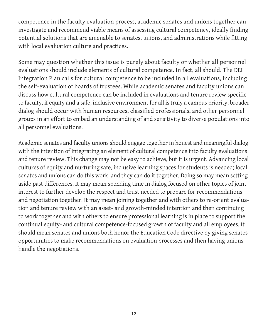competence in the faculty evaluation process, academic senates and unions together can investigate and recommend viable means of assessing cultural competency, ideally finding potential solutions that are amenable to senates, unions, and administrations while fitting with local evaluation culture and practices.

Some may question whether this issue is purely about faculty or whether all personnel evaluations should include elements of cultural competence. In fact, all should. The DEI Integration Plan calls for cultural competence to be included in all evaluations, including the self-evaluation of boards of trustees. While academic senates and faculty unions can discuss how cultural competence can be included in evaluations and tenure review specific to faculty, if equity and a safe, inclusive environment for all is truly a campus priority, broader dialog should occur with human resources, classified professionals, and other personnel groups in an effort to embed an understanding of and sensitivity to diverse populations into all personnel evaluations.

Academic senates and faculty unions should engage together in honest and meaningful dialog with the intention of integrating an element of cultural competence into faculty evaluations and tenure review. This change may not be easy to achieve, but it is urgent. Advancing local cultures of equity and nurturing safe, inclusive learning spaces for students is needed; local senates and unions can do this work, and they can do it together. Doing so may mean setting aside past differences. It may mean spending time in dialog focused on other topics of joint interest to further develop the respect and trust needed to prepare for recommendations and negotiation together. It may mean joining together and with others to re-orient evaluation and tenure review with an asset- and growth-minded intention and then continuing to work together and with others to ensure professional learning is in place to support the continual equity- and cultural competence-focused growth of faculty and all employees. It should mean senates and unions both honor the Education Code directive by giving senates opportunities to make recommendations on evaluation processes and then having unions handle the negotiations.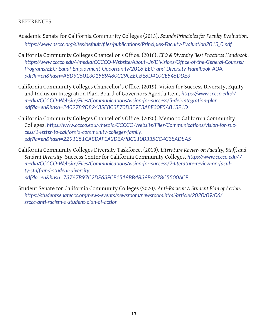#### **REFERENCES**

- Academic Senate for California Community Colleges (2013). *Sounds Principles for Faculty Evaluation*. *[https://www.asccc.org/sites/default/files/publications/Principles-Faculty-Evaluation2013\\_0.pdf](https://www.asccc.org/sites/default/files/publications/Principles-Faculty-Evaluation2013_0.pdf)*
- California Community Colleges Chancellor's Office. (2016). *EEO & Diversity Best Practices Handbook*. *[https://www.cccco.edu/-/media/CCCCO-Website/About-Us/Divisions/Office-of-the-General-Counsel/](https://www.cccco.edu/-/media/CCCCO-Website/About-Us/Divisions/Office-of-the-General-Counsel/Programs/EEO-Equal-Employment-Opportunity/2016-EEO-and-Diversity-Handbook-ADA.pdf?la=en&hash=ABD9C5013015B9A80C29CEECBE8D410CE545DDE3) [Programs/EEO-Equal-Employment-Opportunity/2016-EEO-and-Diversity-Handbook-ADA.](https://www.cccco.edu/-/media/CCCCO-Website/About-Us/Divisions/Office-of-the-General-Counsel/Programs/EEO-Equal-Employment-Opportunity/2016-EEO-and-Diversity-Handbook-ADA.pdf?la=en&hash=ABD9C5013015B9A80C29CEECBE8D410CE545DDE3) [pdf?la=en&hash=ABD9C5013015B9A80C29CEECBE8D410CE545DDE3](https://www.cccco.edu/-/media/CCCCO-Website/About-Us/Divisions/Office-of-the-General-Counsel/Programs/EEO-Equal-Employment-Opportunity/2016-EEO-and-Diversity-Handbook-ADA.pdf?la=en&hash=ABD9C5013015B9A80C29CEECBE8D410CE545DDE3)*
- California Community Colleges Chancellor's Office. (2019). Vision for Success Diversity, Equity and Inclusion Integration Plan. Board of Governors Agenda Item. *[https://www.cccco.edu/-/](https://www.cccco.edu/-/media/CCCCO-Website/Files/Communications/vision-for-success/5-dei-integration-plan.pdf?la=en&hash=2402789D82435E8C3E70D3E9E3A8F30F5AB13F1D) [media/CCCCO-Website/Files/Communications/vision-for-success/5-dei-integration-plan.](https://www.cccco.edu/-/media/CCCCO-Website/Files/Communications/vision-for-success/5-dei-integration-plan.pdf?la=en&hash=2402789D82435E8C3E70D3E9E3A8F30F5AB13F1D) [pdf?la=en&hash=2402789D82435E8C3E70D3E9E3A8F30F5AB13F1D](https://www.cccco.edu/-/media/CCCCO-Website/Files/Communications/vision-for-success/5-dei-integration-plan.pdf?la=en&hash=2402789D82435E8C3E70D3E9E3A8F30F5AB13F1D)*
- California Community Colleges Chancellor's Office. (2020). Memo to California Community Colleges. *[https://www.cccco.edu/-/media/CCCCO-Website/Files/Communications/vision-for-suc](https://www.cccco.edu/-/media/CCCCO-Website/Files/Communications/vision-for-success/1-letter-to-california-community-colleges-family.pdf?la=en&hash=2291351CABDAFEA2DBA9BC210B335CC4C38AD8A5)[cess/1-letter-to-california-community-colleges-family.](https://www.cccco.edu/-/media/CCCCO-Website/Files/Communications/vision-for-success/1-letter-to-california-community-colleges-family.pdf?la=en&hash=2291351CABDAFEA2DBA9BC210B335CC4C38AD8A5) [pdf?la=en&hash=2291351CABDAFEA2DBA9BC210B335CC4C38AD8A5](https://www.cccco.edu/-/media/CCCCO-Website/Files/Communications/vision-for-success/1-letter-to-california-community-colleges-family.pdf?la=en&hash=2291351CABDAFEA2DBA9BC210B335CC4C38AD8A5)*
- California Community Colleges Diversity Taskforce. (2019). *Literature Review on Faculty, Staff, and Student Diversity*. Success Center for California Community Colleges. *[https://www.cccco.edu/-/](https://www.cccco.edu/-/media/CCCCO-Website/Files/Communications/vision-for-success/2-literature-review-on-faculty-staff-and-student-diversity.pdf?la=en&hash=73767B97C2DE63FCE1518BB4B39B6278C5500ACF) [media/CCCCO-Website/Files/Communications/vision-for-success/2-literature-review-on-facul](https://www.cccco.edu/-/media/CCCCO-Website/Files/Communications/vision-for-success/2-literature-review-on-faculty-staff-and-student-diversity.pdf?la=en&hash=73767B97C2DE63FCE1518BB4B39B6278C5500ACF)[ty-staff-and-student-diversity.](https://www.cccco.edu/-/media/CCCCO-Website/Files/Communications/vision-for-success/2-literature-review-on-faculty-staff-and-student-diversity.pdf?la=en&hash=73767B97C2DE63FCE1518BB4B39B6278C5500ACF) [pdf?la=en&hash=73767B97C2DE63FCE1518BB4B39B6278C5500ACF](https://www.cccco.edu/-/media/CCCCO-Website/Files/Communications/vision-for-success/2-literature-review-on-faculty-staff-and-student-diversity.pdf?la=en&hash=73767B97C2DE63FCE1518BB4B39B6278C5500ACF)*
- Student Senate for California Community Colleges (2020). *Anti-Racism: A Student Plan of Action*. *[https://studentsenateccc.org/news-events/newsroom/newsroom.html/article/2020/09/06/](https://studentsenateccc.org/news-events/newsroom/newsroom.html/article/2020/09/06/ssccc-anti-racism-a-student-plan-of-action) [ssccc-anti-racism-a-student-plan-of-action](https://studentsenateccc.org/news-events/newsroom/newsroom.html/article/2020/09/06/ssccc-anti-racism-a-student-plan-of-action)*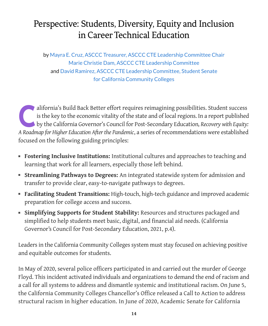# <span id="page-15-0"></span>Perspective: Students, Diversity, Equity and Inclusion in Career Technical Education

by Mayra E. Cruz, ASCCC Treasurer, ASCCC CTE Leadership Committee Chair Marie Christie Dam, ASCCC CTE Leadership Committee and David Ramirez, ASCCC CTE Leadership Committee, Student Senate for California Community Colleges

alifornia's Build Back Better effort requires reimagining possibilities. Student success is the key to the economic vitality of the state and of local regions. In a report published by the California Governor's Council for is the key to the economic vitality of the state and of local regions. In a report published *A Roadmap for Higher Education After the Pandemic*, a series of recommendations were established focused on the following guiding principles:

- **Fostering Inclusive Institutions:** Institutional cultures and approaches to teaching and learning that work for all learners, especially those left behind.
- **Streamlining Pathways to Degrees:** An integrated statewide system for admission and transfer to provide clear, easy-to-navigate pathways to degrees.
- **Facilitating Student Transitions:** High-touch, high-tech guidance and improved academic preparation for college access and success.
- **Simplifying Supports for Student Stability:** Resources and structures packaged and simplified to help students meet basic, digital, and financial aid needs. (California Governor's Council for Post-Secondary Education, 2021, p.4).

Leaders in the California Community Colleges system must stay focused on achieving positive and equitable outcomes for students.

In May of 2020, several police officers participated in and carried out the murder of George Floyd. This incident activated individuals and organizations to demand the end of racism and a call for all systems to address and dismantle systemic and institutional racism. On June 5, the California Community Colleges Chancellor's Office released a Call to Action to address structural racism in higher education. In June of 2020, Academic Senate for California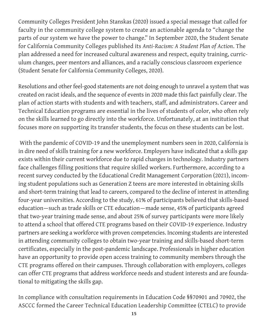Community Colleges President John Stanskas (2020) issued a special message that called for faculty in the community college system to create an actionable agenda to "change the parts of our system we have the power to change." In September 2020, the Student Senate for California Community Colleges published its *Anti-Racism: A Student Plan of Action*. The plan addressed a need for increased cultural awareness and respect, equity training, curriculum changes, peer mentors and alliances, and a racially conscious classroom experience (Student Senate for California Community Colleges, 2020).

Resolutions and other feel-good statements are not doing enough to unravel a system that was created on racist ideals, and the sequence of events in 2020 made this fact painfully clear. The plan of action starts with students and with teachers, staff, and administrators. Career and Technical Education programs are essential in the lives of students of color, who often rely on the skills learned to go directly into the workforce. Unfortunately, at an institution that focuses more on supporting its transfer students, the focus on these students can be lost.

 With the pandemic of COVID-19 and the unemployment numbers seen in 2020, California is in dire need of skills training for a new workforce. Employers have indicated that a skills gap exists within their current workforce due to rapid changes in technology. Industry partners face challenges filling positions that require skilled workers. Furthermore, according to a recent survey conducted by the Educational Credit Management Corporation (2021), incoming student populations such as Generation Z teens are more interested in obtaining skills and short-term training that lead to careers, compared to the decline of interest in attending four-year universities. According to the study, 61% of participants believed that skills-based education—such as trade skills or CTE education—made sense, 45% of participants agreed that two-year training made sense, and about 25% of survey participants were more likely to attend a school that offered CTE programs based on their COVID-19 experience. Industry partners are seeking a workforce with proven competencies. Incoming students are interested in attending community colleges to obtain two-year training and skills-based short-term certificates, especially in the post-pandemic landscape. Professionals in higher education have an opportunity to provide open access training to community members through the CTE programs offered on their campuses. Through collaboration with employers, colleges can offer CTE programs that address workforce needs and student interests and are foundational to mitigating the skills gap.

In compliance with consultation requirements in Education Code §§70901 and 70902, the ASCCC formed the Career Technical Education Leadership Committee (CTELC) to provide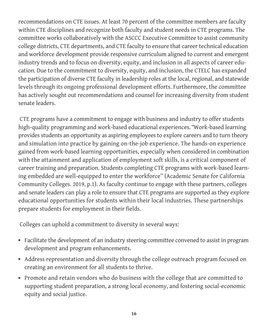recommendations on CTE issues. At least 70 percent of the committee members are faculty within CTE disciplines and recognize both faculty and student needs in CTE programs. The committee works collaboratively with the ASCCC Executive Committee to assist community college districts, CTE departments, and CTE faculty to ensure that career technical education and workforce development provide responsive curriculum aligned to current and emergent industry trends and to focus on diversity, equity, and inclusion in all aspects of career education. Due to the commitment to diversity, equity, and inclusion, the CTELC has expanded the participation of diverse CTE faculty in leadership roles at the local, regional, and statewide levels through its ongoing professional development efforts. Furthermore, the committee has actively sought out recommendations and counsel for increasing diversity from student senate leaders.

 CTE programs have a commitment to engage with business and industry to offer students high-quality programming and work-based educational experiences. "Work-based learning provides students an opportunity as aspiring employees to explore careers and to turn theory and simulation into practice by gaining on-the-job experience. The hands-on experience gained from work-based learning opportunities, especially when considered in combination with the attainment and application of employment soft skills, is a critical component of career training and preparation. Students completing CTE programs with work-based learning embedded are well-equipped to enter the workforce" (Academic Senate for California Community Colleges. 2019, p.1). As faculty continue to engage with these partners, colleges and senate leaders can play a role to ensure that CTE programs are supported as they explore educational opportunities for students within their local industries. These partnerships prepare students for employment in their fields.

Colleges can uphold a commitment to diversity in several ways:

- Facilitate the development of an industry steering committee convened to assist in program development and program enhancements.
- Address representation and diversity through the college outreach program focused on creating an environment for all students to thrive.
- Promote and retain vendors who do business with the college that are committed to supporting student preparation, a strong local economy, and fostering social-economic equity and social justice.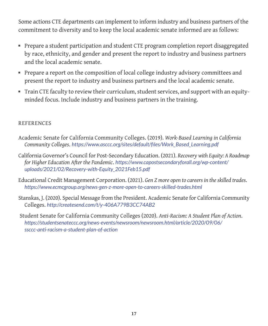Some actions CTE departments can implement to inform industry and business partners of the commitment to diversity and to keep the local academic senate informed are as follows:

- Prepare a student participation and student CTE program completion report disaggregated by race, ethnicity, and gender and present the report to industry and business partners and the local academic senate.
- Prepare a report on the composition of local college industry advisory committees and present the report to industry and business partners and the local academic senate.
- Train CTE faculty to review their curriculum, student services, and support with an equityminded focus. Include industry and business partners in the training.

#### REFERENCES

- Academic Senate for California Community Colleges. (2019). *Work-Based Learning in California Community Colleges*. *[https://www.asccc.org/sites/default/files/Work\\_Based\\_Learning.pdf](https://www.asccc.org/sites/default/files/Work_Based_Learning.pdf)*
- California Governor's Council for Post-Secondary Education. (2021). *Recovery with Equity: A Roadmap for Higher Education After the Pandemic*. *[https://www.capostsecondaryforall.org/wp-content/](https://www.capostsecondaryforall.org/wp-content/uploads/2021/02/Recovery-with-Equity_2021Feb15.pdf) [uploads/2021/02/Recovery-with-Equity\\_2021Feb15.pdf](https://www.capostsecondaryforall.org/wp-content/uploads/2021/02/Recovery-with-Equity_2021Feb15.pdf)*
- Educational Credit Management Corporation. (2021). *Gen Z more open to careers in the skilled trades*. *<https://www.ecmcgroup.org/news-gen-z-more-open-to-careers-skilled-trades.html>*
- Stanskas, J. (2020). Special Message from the President. Academic Senate for California Community Colleges. *<http://createsend.com/t/y-406A779B3CC74AB2>*
- Student Senate for California Community Colleges (2020). *Anti-Racism: A Student Plan of Action*. *[https://studentsenateccc.org/news-events/newsroom/newsroom.html/article/2020/09/06/](https://studentsenateccc.org/news-events/newsroom/newsroom.html/article/2020/09/06/ssccc-anti-racism-a-student-plan-of-action) [ssccc-anti-racism-a-student-plan-of-action](https://studentsenateccc.org/news-events/newsroom/newsroom.html/article/2020/09/06/ssccc-anti-racism-a-student-plan-of-action)*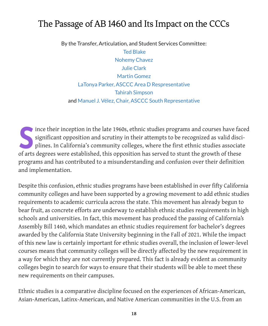# <span id="page-19-0"></span>The Passage of AB 1460 and Its Impact on the CCCs

By the Transfer, Articulation, and Student Services Committee:

Ted Blake Nohemy Chavez Julie Clark Martin Gomez LaTonya Parker, ASCCC Area D Respresentative Tahirah Simpson and Manuel J. Vélez, Chair, ASCCC South Representative

Since their inception in the late 1960s, ethnic studies programs and courses have faced significant opposition and scrutiny in their attempts to be recognized as valid disciplines. In California's community colleges, where significant opposition and scrutiny in their attempts to be recognized as valid disciof arts degrees were established, this opposition has served to stunt the growth of these programs and has contributed to a misunderstanding and confusion over their definition and implementation.

Despite this confusion, ethnic studies programs have been established in over fifty California community colleges and have been supported by a growing movement to add ethnic studies requirements to academic curricula across the state. This movement has already begun to bear fruit, as concrete efforts are underway to establish ethnic studies requirements in high schools and universities. In fact, this movement has produced the passing of California's Assembly Bill 1460, which mandates an ethnic studies requirement for bachelor's degrees awarded by the California State University beginning in the Fall of 2021. While the impact of this new law is certainly important for ethnic studies overall, the inclusion of lower-level courses means that community colleges will be directly affected by the new requirement in a way for which they are not currently prepared. This fact is already evident as community colleges begin to search for ways to ensure that their students will be able to meet these new requirements on their campuses.

Ethnic studies is a comparative discipline focused on the experiences of African-American, Asian-American, Latinx-American, and Native American communities in the U.S. from an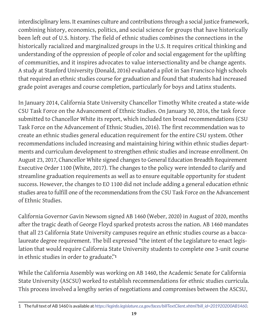interdisciplinary lens. It examines culture and contributions through a social justice framework, combining history, economics, politics, and social science for groups that have historically been left out of U.S. history. The field of ethnic studies combines the connections in the historically racialized and marginalized groups in the U.S. It requires critical thinking and understanding of the oppression of people of color and social engagement for the uplifting of communities, and it inspires advocates to value intersectionality and be change agents. A study at Stanford University (Donald, 2016) evaluated a pilot in San Francisco high schools that required an ethnic studies course for graduation and found that students had increased grade point averages and course completion, particularly for boys and Latinx students.

In January 2014, California State University Chancellor Timothy White created a state-wide CSU Task Force on the Advancement of Ethnic Studies. On January 30, 2016, the task force submitted to Chancellor White its report, which included ten broad recommendations (CSU Task Force on the Advancement of Ethnic Studies, 2016). The first recommendation was to create an ethnic studies general education requirement for the entire CSU system. Other recommendations included increasing and maintaining hiring within ethnic studies departments and curriculum development to strengthen ethnic studies and increase enrollment. On August 23, 2017, Chancellor White signed changes to General Education Breadth Requirement Executive Order 1100 (White, 2017). The changes to the policy were intended to clarify and streamline graduation requirements as well as to ensure equitable opportunity for student success. However, the changes to EO 1100 did not include adding a general education ethnic studies area to fulfill one of the recommendations from the CSU Task Force on the Advancement of Ethnic Studies.

California Governor Gavin Newsom signed AB 1460 (Weber, 2020) in August of 2020, months after the tragic death of George Floyd sparked protests across the nation. AB 1460 mandates that all 23 California State University campuses require an ethnic studies course as a baccalaureate degree requirement. The bill expressed "the intent of the Legislature to enact legislation that would require California State University students to complete one 3-unit course in ethnic studies in order to graduate."**<sup>1</sup>**

While the California Assembly was working on AB 1460, the Academic Senate for California State University (ASCSU) worked to establish recommendations for ethnic studies curricula. This process involved a lengthy series of negotiations and compromises between the ASCSU,

<sup>1</sup> The full text of AB 1460 is available at *[https://leginfo.legislature.ca.gov/faces/billTextClient.xhtml?bill\\_id=201920200AB1460](https://leginfo.legislature.ca.gov/faces/billTextClient.xhtml?bill_id=201920200AB1460.)*.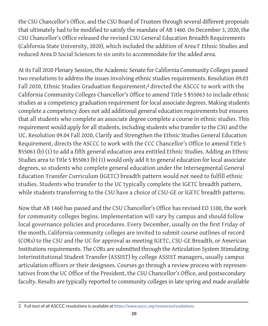the CSU Chancellor's Office, and the CSU Board of Trustees through several different proposals that ultimately had to be modified to satisfy the mandate of AB 1460. On December 3, 2020, the CSU Chancellor's Office released the revised CSU General Education Breadth Requirements (California State University, 2020), which included the addition of Area F Ethnic Studies and reduced Area D Social Sciences to six units to accommodate for the added area.

At its Fall 2020 Plenary Session, the Academic Senate for California Community Colleges passed two resolutions to address the issues involving ethnic studies requirements. Resolution 09.03 Fall 2020, Ethnic Studies Graduation Requirement,**2** directed the ASCCC to work with the California Community Colleges Chancellor's Office to amend Title 5 §55063 to include ethnic studies as a competency graduation requirement for local associate degrees. Making students complete a competency does not add additional general education requirements but ensures that all students who complete an associate degree complete a course in ethnic studies. This requirement would apply for all students, including students who transfer to the CSU and the UC. Resolution 09.04 Fall 2020, Clarify and Strengthen the Ethnic Studies General Education Requirement, directs the ASCCC to work with the CCC Chancellor's Office to amend Title 5 §55063 (b) (1) to add a fifth general education area entitled Ethnic Studies. Adding an Ethnic Studies area to Title 5 §55063 (b) (1) would only add it to general education for local associate degrees, so students who complete general education under the Intersegmental General Education Transfer Curriculum (IGETC) breadth pattern would not need to fulfill ethnic studies. Students who transfer to the UC typically complete the IGETC breadth pattern, while students transferring to the CSU have a choice of CSU-GE or IGETC breadth patterns.

Now that AB 1460 has passed and the CSU Chancellor's Office has revised EO 1100, the work for community colleges begins. Implementation will vary by campus and should follow local governance policies and procedures. Every December, usually on the first Friday of the month, California community colleges are invited to submit course outlines of record (CORs) to the CSU and the UC for approval as meeting IGETC, CSU-GE Breadth, or American Institutions requirements. The CORs are submitted through the Articulation System Stimulating Interinstitutional Student Transfer (ASSIST) by college ASSIST managers, usually campus articulation officers or their designees. Courses go through a review process with representatives from the UC Office of the President, the CSU Chancellor's Office, and postsecondary faculty. Results are typically reported to community colleges in late spring and made available

<sup>2</sup> Full text of all ASCCC resolutions is available at *[https://www.asccc.org/resources/resolutions.](https://www.asccc.org/resources/resolutions)*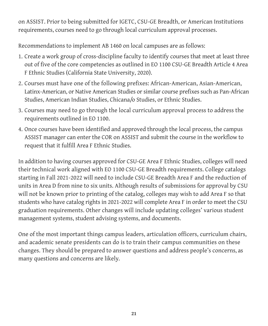on ASSIST. Prior to being submitted for IGETC, CSU-GE Breadth, or American Institutions requirements, courses need to go through local curriculum approval processes.

Recommendations to implement AB 1460 on local campuses are as follows:

- 1. Create a work group of cross-discipline faculty to identify courses that meet at least three out of five of the core competencies as outlined in EO 1100 CSU-GE Breadth Article 4 Area F Ethnic Studies (California State University, 2020).
- 2. Courses must have one of the following prefixes: African-American, Asian-American, Latinx-American, or Native American Studies or similar course prefixes such as Pan-African Studies, American Indian Studies, Chicana/o Studies, or Ethnic Studies.
- 3. Courses may need to go through the local curriculum approval process to address the requirements outlined in EO 1100.
- 4. Once courses have been identified and approved through the local process, the campus ASSIST manager can enter the COR on ASSIST and submit the course in the workflow to request that it fulfill Area F Ethnic Studies.

In addition to having courses approved for CSU-GE Area F Ethnic Studies, colleges will need their technical work aligned with EO 1100 CSU-GE Breadth requirements. College catalogs starting in Fall 2021-2022 will need to include CSU-GE Breadth Area F and the reduction of units in Area D from nine to six units. Although results of submissions for approval by CSU will not be known prior to printing of the catalog, colleges may wish to add Area F so that students who have catalog rights in 2021-2022 will complete Area F in order to meet the CSU graduation requirements. Other changes will include updating colleges' various student management systems, student advising systems, and documents.

One of the most important things campus leaders, articulation officers, curriculum chairs, and academic senate presidents can do is to train their campus communities on these changes. They should be prepared to answer questions and address people's concerns, as many questions and concerns are likely.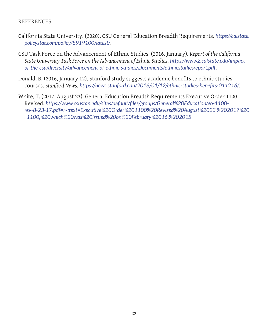#### REFERENCES

- California State University. (2020). CSU General Education Breadth Requirements. *[https://calstate.](https://calstate.policystat.com/policy/8919100/latest/) [policystat.com/policy/8919100/latest/](https://calstate.policystat.com/policy/8919100/latest/)*.
- CSU Task Force on the Advancement of Ethnic Studies. (2016, January). *Report of the California State University Task Force on the Advancement of Ethnic Studies*. *[https://www2.calstate.edu/impact](https://www2.calstate.edu/impact-of-the-csu/diversity/advancement-of-ethnic-studies/Documents/ethnicstudiesreport.pdf)[of-the-csu/diversity/advancement-of-ethnic-studies/Documents/ethnicstudiesreport.pdf](https://www2.calstate.edu/impact-of-the-csu/diversity/advancement-of-ethnic-studies/Documents/ethnicstudiesreport.pdf)*.
- Donald, B. (2016, January 12). Stanford study suggests academic benefits to ethnic studies courses. *Stanford News*. *<https://news.stanford.edu/2016/01/12/ethnic-studies-benefits-011216/>*.
- White, T. (2017, August 23). General Education Breadth Requirements Executive Order 1100 Revised. *[https://www.csustan.edu/sites/default/files/groups/General%20Education/eo-1100](https://www.csustan.edu/sites/default/files/groups/General%20Education/eo-1100-rev-8-23-17.pdf#:~:text=Executive%20Order%201100%20Revised%20August%2023,%202017%20.,1100,%20which%20was%20issued%20on%20February%2016,%202015) [rev-8-23-17.pdf#:~:text=Executive%20Order%201100%20Revised%20August%2023,%202017%20](https://www.csustan.edu/sites/default/files/groups/General%20Education/eo-1100-rev-8-23-17.pdf#:~:text=Executive%20Order%201100%20Revised%20August%2023,%202017%20.,1100,%20which%20was%20issued%20on%20February%2016,%202015) [.,1100,%20which%20was%20issued%20on%20February%2016,%202015](https://www.csustan.edu/sites/default/files/groups/General%20Education/eo-1100-rev-8-23-17.pdf#:~:text=Executive%20Order%201100%20Revised%20August%2023,%202017%20.,1100,%20which%20was%20issued%20on%20February%2016,%202015)*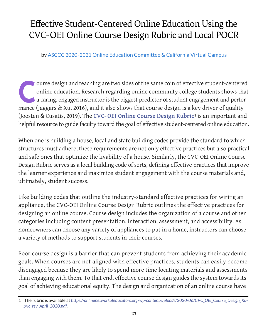# <span id="page-24-0"></span>Effective Student-Centered Online Education Using the CVC-OEI Online Course Design Rubric and Local POCR

by ASCCC 2020-2021 Online Education Committee & California Virtual Campus

ourse design and teaching are two sides of the same coin of effective student-centered online education. Research regarding online community college students shows that a caring, engaged instructor is the biggest predictor online education. Research regarding online community college students shows that mance (Jaggars & Xu, 2016), and it also shows that course design is a key driver of quality (Joosten & Cusatis, 2019). The **[CVC- OEI Online Course Design Rubric](https://onlinenetworkofeducators.org/wp-content/uploads/2020/06/CVC_OEI_Course_Design_Rubric_rev_April_2020.pdf)1** is an important and helpful resource to guide faculty toward the goal of effective student-centered online education.

When one is building a house, local and state building codes provide the standard to which structures must adhere; these requirements are not only effective practices but also practical and safe ones that optimize the livability of a house. Similarly, the CVC-OEI Online Course Design Rubric serves as a local building code of sorts, defining effective practices that improve the learner experience and maximize student engagement with the course materials and, ultimately, student success.

Like building codes that outline the industry-standard effective practices for wiring an appliance, the CVC-OEI Online Course Design Rubric outlines the effective practices for designing an online course. Course design includes the organization of a course and other categories including content presentation, interaction, assessment, and accessibility. As homeowners can choose any variety of appliances to put in a home, instructors can choose a variety of methods to support students in their courses.

Poor course design is a barrier that can prevent students from achieving their academic goals. When courses are not aligned with effective practices, students can easily become disengaged because they are likely to spend more time locating materials and assessments than engaging with them. To that end, effective course design guides the system towards its goal of achieving educational equity. The design and organization of an online course have

<sup>1</sup> The rubric is available at *[https://onlinenetworkofeducators.org/wp-content/uploads/2020/06/CVC\\_OEI\\_Course\\_Design\\_Ru](https://onlinenetworkofeducators.org/wp-content/uploads/2020/06/CVC_OEI_Course_Design_Rubric_rev_April_2020.pdf)[bric\\_rev\\_April\\_2020.pdf](https://onlinenetworkofeducators.org/wp-content/uploads/2020/06/CVC_OEI_Course_Design_Rubric_rev_April_2020.pdf)*.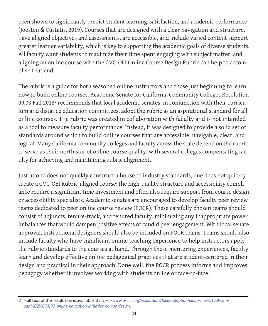been shown to significantly predict student learning, satisfaction, and academic performance (Joosten & Custatis, 2019). Courses that are designed with a clear navigation and structure, have aligned objectives and assessments, are accessible, and include varied content support greater learner variability, which is key to supporting the academic goals of diverse students. All faculty want students to maximize their time spent engaging with subject matter, and aligning an online course with the CVC-OEI Online Course Design Rubric can help to accomplish that end.

The rubric is a guide for both seasoned online instructors and those just beginning to learn how to build online courses. Academic Senate for California Community Colleges Resolution 09.03 Fall 2018**2** recommends that local academic senates, in conjunction with their curriculum and distance education committees, adopt the rubric as an aspirational standard for all online courses. The rubric was created in collaboration with faculty and is not intended as a tool to measure faculty performance. Instead, it was designed to provide a solid set of standards around which to build online courses that are accessible, navigable, clear, and logical. Many California community colleges and faculty across the state depend on the rubric to serve as their north star of online course quality, with several colleges compensating faculty for achieving and maintaining rubric alignment.

Just as one does not quickly construct a house to industry standards, one does not quickly create a CVC-OEI Rubric-aligned course; the high-quality structure and accessibility compliance require a significant time investment and often also require support from course design or accessibility specialists. Academic senates are encouraged to develop faculty peer review teams dedicated to peer online course review (POCR). These carefully chosen teams should consist of adjuncts, tenure-track, and tenured faculty, minimizing any inappropriate power imbalances that would dampen positive effects of candid peer engagement. With local senate approval, instructional designers should also be included on POCR teams. Teams should also include faculty who have significant online teaching experience to help instructors apply the rubric standards to the courses at hand. Through these mentoring experiences, faculty learn and develop effective online pedagogical practices that are student-centered in their design and practical in their approach. Done well, the POCR process informs and improves pedagogy whether it involves working with students online or face-to-face.

<sup>2</sup> Full text of the resolution is available at *[https://www.asccc.org/resolutions/local-adoption-california-virtual-cam](https://www.asccc.org/resolutions/local-adoption-california-virtual-campus-%E2%80%93-online-education-initiative-course-design)[pus-%E2%80%93-online-education-initiative-course-design](https://www.asccc.org/resolutions/local-adoption-california-virtual-campus-%E2%80%93-online-education-initiative-course-design)*.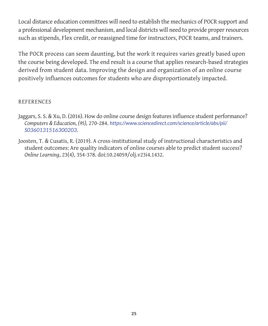Local distance education committees will need to establish the mechanics of POCR support and a professional development mechanism, and local districts will need to provide proper resources such as stipends, Flex credit, or reassigned time for instructors, POCR teams, and trainers.

The POCR process can seem daunting, but the work it requires varies greatly based upon the course being developed. The end result is a course that applies research-based strategies derived from student data. Improving the design and organization of an online course positively influences outcomes for students who are disproportionately impacted.

#### REFERENCES

- Jaggars, S. S. & Xu, D. (2016). How do online course design features influence student performance? *Computers & Education, (95),* 270-284. *[https://www.sciencedirect.com/science/article/abs/pii/](https://www.sciencedirect.com/science/article/abs/pii/S0360131516300203) [S0360131516300203](https://www.sciencedirect.com/science/article/abs/pii/S0360131516300203)*.
- Joosten, T. & Cusatis, R. (2019). A cross-institutional study of instructional characteristics and student outcomes: Are quality indicators of online courses able to predict student success? *Online Learning*, 23(4), 354-378. doi:10.24059/olj.v23i4.1432.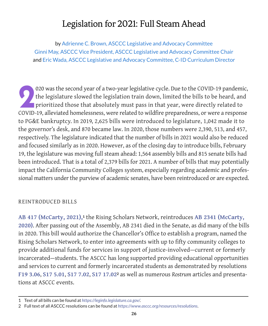# Legislation for 2021: Full Steam Ahead

<span id="page-27-0"></span>by Adrienne C. Brown, ASCCC Legislative and Advocacy Committee Ginni May, ASCCC Vice President, ASCCC Legislative and Advocacy Committee Chair and Eric Wada, ASCCC Legislative and Advocacy Committee, C-ID Curriculum Director

2020 was the second year of a two-year legislative cycle. Due to the COVID-19 pandemic, the legislature slowed the legislation train down, limited the bills to be heard, and prioritized those that absolutely must pass in t the legislature slowed the legislation train down, limited the bills to be heard, and prioritized those that absolutely must pass in that year, were directly related to COVID-19, alleviated homelessness, were related to wildfire preparedness, or were a response to PG&E bankruptcy. In 2019, 2,625 bills were introduced to legislature, 1,042 made it to the governor's desk, and 870 became law. In 2020, those numbers were 2,390, 513, and 457, respectively. The legislature indicated that the number of bills in 2021 would also be reduced and focused similarly as in 2020. However, as of the closing day to introduce bills, February 19, the legislature was moving full steam ahead: 1,564 assembly bills and 815 senate bills had been introduced. That is a total of 2,379 bills for 2021. A number of bills that may potentially impact the California Community Colleges system, especially regarding academic and professional matters under the purview of academic senates, have been reintroduced or are expected.

#### REINTRODUCED BILLS

**[AB 417 \(McCarty, 2021\),](https://leginfo.legislature.ca.gov/faces/billNavClient.xhtml?bill_id=202120220AB417)1** the Rising Scholars Network, reintroduces **[AB 2341 \(McCarty,](https://leginfo.legislature.ca.gov/faces/billTextClient.xhtml?bill_id=201920200AB2341&search_keywords=rising+scholars)  [2020\)](https://leginfo.legislature.ca.gov/faces/billTextClient.xhtml?bill_id=201920200AB2341&search_keywords=rising+scholars)**. After passing out of the Assembly, AB 2341 died in the Senate, as did many of the bills in 2020. This bill would authorize the Chancellor's Office to establish a program, named the Rising Scholars Network, to enter into agreements with up to fifty community colleges to provide additional funds for services in support of justice-involved—current or formerly incarcerated—students. The ASCCC has long supported providing educational opportunities and services to current and formerly incarcerated students as demonstrated by resolutions **[F19 3.06](https://www.asccc.org/resolutions/include-currently-and-formerly-incarcerated-youth-equity-plans)**, **[S17 5.01](https://www.asccc.org/resolutions/sustainable-funding-inmate-education-programs-0)**, **[S17 7.02](https://www.asccc.org/resolutions/online-training-college-staff-support-formerly-incarcerated-students-0)**, **[S17 17.02](https://www.asccc.org/resolutions/adequate-support-and-designated-point-person-formerly-incarcerated-students-0)2** as well as numerous *Rostrum* articles and presentations at ASCCC events.

<sup>1</sup> Text of all bills can be found at *https://leginfo.legislature.ca.gov/*.

<sup>2</sup> Full text of all ASCCC resolutions can be found at *https://www.asccc.org/resources/resolutions*.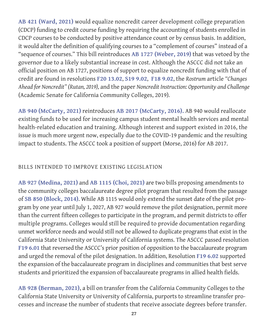**[AB 421 \(Ward, 2021\)](http://leginfo.legislature.ca.gov/faces/billNavClient.xhtml?bill_id=202120220AB421)** would equalize noncredit career development college preparation (CDCP) funding to credit course funding by requiring the accounting of students enrolled in CDCP courses to be conducted by positive attendance count or by census basis. In addition, it would alter the definition of qualifying courses to a "complement of courses" instead of a "sequence of courses." This bill reintroduces **[AB 1727 \(Weber, 2019\)](https://leginfo.legislature.ca.gov/faces/billNavClient.xhtml?bill_id=201920200AB1727)** that was vetoed by the governor due to a likely substantial increase in cost. Although the ASCCC did not take an official position on AB 1727, positions of support to equalize noncredit funding with that of credit are found in resolutions **[F20 13.02](https://www.asccc.org/resolutions/noncredit-distance-education-attendance-collection-procedures-open-entryexit-courses)**, **[S19 9.02](https://www.asccc.org/resolutions/adopt-paper-noncredit-instruction-opportunity-and-challenge)**, **[F18 9.02](https://www.asccc.org/resolutions/equalize-noncredit-curriculum-processes-align-local-approval-credit-curriculum-processes)**, the *Rostrum* article *"Changes Ahead for Noncredit" (Rutan, 2019),* and the paper *[Noncredit Instruction: Opportunity and Challenge](https://www.asccc.org/papers/noncredit-instruction-opportunity-and-challenge-0)* (Academic Senate for California Community Colleges, 2019)*.*

**[AB 940 \(McCarty, 2021\)](https://leginfo.legislature.ca.gov/faces/billNavClient.xhtml?bill_id=202120220AB940)** reintroduces **[AB 2017 \(McCarty, 2016\)](https://leginfo.legislature.ca.gov/faces/billTextClient.xhtml?bill_id=201520160AB2017).** AB 940 would reallocate existing funds to be used for increasing campus student mental health services and mental health-related education and training. Although interest and support existed in 2016, the issue is much more urgent now, especially due to the COVID-19 pandemic and the resulting impact to students. The ASCCC took a position of support (Morse, 2016) for AB 2017.

## BILLS INTENDED TO IMPROVE EXISTING LEGISLATION

**[AB 927 \(Medina, 2021\)](https://leginfo.legislature.ca.gov/faces/billNavClient.xhtml?bill_id=202120220AB927)** and **[AB 1115 \(Choi, 2021\)](https://leginfo.legislature.ca.gov/faces/billNavClient.xhtml?bill_id=202120220AB1115)** are two bills proposing amendments to the community colleges baccalaureate degree pilot program that resulted from the passage of **[SB 850 \(Block, 2014\)](https://leginfo.legislature.ca.gov/faces/billNavClient.xhtml?bill_id=201320140SB850)**. While AB 1115 would only extend the sunset date of the pilot program by one year until July 1, 2027, AB 927 would remove the pilot designation, permit more than the current fifteen colleges to participate in the program, and permit districts to offer multiple programs. Colleges would still be required to provide documentation regarding unmet workforce needs and would still not be allowed to duplicate programs that exist in the California State University or University of California systems. The ASCCC passed resolution **[F19 6.01](https://www.asccc.org/resolutions/reversal-position-regarding-baccalaureate-degrees-and-removal-pilot-designation)** that reversed the ASCCC's prior position of opposition to the baccalaureate program and urged the removal of the pilot designation. In addition, Resolution **[F19 6.02](https://www.asccc.org/resolutions/expansion-baccalaureate-degree-programs-allied-health)** supported the expansion of the baccalaureate program in disciplines and communities that best serve students and prioritized the expansion of baccalaureate programs in allied health fields.

**[AB 928 \(Berman, 2021\)](https://leginfo.legislature.ca.gov/faces/billNavClient.xhtml?bill_id=202120220AB928)**, a bill on transfer from the California Community Colleges to the California State University or University of California, purports to streamline transfer processes and increase the number of students that receive associate degrees before transfer.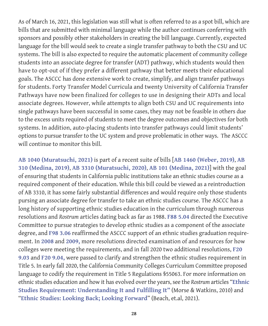As of March 16, 2021, this legislation was still what is often referred to as a spot bill, which are bills that are submitted with minimal language while the author continues conferring with sponsors and possibly other stakeholders in creating the bill language. Currently, expected language for the bill would seek to create a single transfer pathway to both the CSU and UC systems. The bill is also expected to require the automatic placement of community college students into an associate degree for transfer (ADT) pathway, which students would then have to opt-out of if they prefer a different pathway that better meets their educational goals. The ASCCC has done extensive work to create, simplify, and align transfer pathways for students. Forty Transfer Model Curricula and twenty University of California Transfer Pathways have now been finalized for colleges to use in designing their ADTs and local associate degrees. However, while attempts to align both CSU and UC requirements into single pathways have been successful in some cases, they may not be feasible in others due to the excess units required of students to meet the degree outcomes and objectives for both systems. In addition, auto-placing students into transfer pathways could limit students' options to pursue transfer to the UC system and prove problematic in other ways. The ASCCC will continue to monitor this bill.

**[AB 1040 \(Muratsuchi, 2021\)](https://leginfo.legislature.ca.gov/faces/billNavClient.xhtml?bill_id=202120220AB1040)** is part of a recent suite of bills [**[AB 1460 \(Weber, 2019\)](https://leginfo.legislature.ca.gov/faces/billNavClient.xhtml?bill_id=201920200AB1460)**, **[AB](https://leginfo.legislature.ca.gov/faces/billNavClient.xhtml?bill_id=201920200AB331)  [310 \(Medina, 2019\)](https://leginfo.legislature.ca.gov/faces/billNavClient.xhtml?bill_id=201920200AB331)**, **[AB 3310 \(Muratsuchi, 2020\)](https://leginfo.legislature.ca.gov/faces/billNavClient.xhtml?bill_id=201920200AB3310)**, **[AB 101 \(Medina, 2021\)](https://leginfo.legislature.ca.gov/faces/billNavClient.xhtml?bill_id=202120220AB101)**] with the goal of ensuring that students in California public institutions take an ethnic studies course as a required component of their education. While this bill could be viewed as a reintroduction of AB 3310, it has some fairly substantial differences and would require only those students pursing an associate degree for transfer to take an ethnic studies course. The ASCCC has a long history of supporting ethnic studies education in the curriculum through numerous resolutions and *Rostrum* articles dating back as far as 1988. **[F88 5.04](https://www.asccc.org/resolutions/ethnic-studies-aa-degree)** directed the Executive Committee to pursue strategies to develop ethnic studies as a component of the associate degree, and **[F98 3.06](https://www.asccc.org/resolutions/ethnic-studies-requirement)** reaffirmed the ASCCC support of an ethnic studies graduation requirement. In **[2008](https://www.asccc.org/resolutions/examine-title-5-ethnic-studies-requirement)** and **[2009,](https://www.asccc.org/resolutions/meeting-ethnic-studies-requirement)** more resolutions directed examination of and resources for how colleges were meeting the requirements, and in fall 2020 two additional resolutions, **[F20](https://www.asccc.org/resolutions/ethnic-studies-graduation-requirement)  [9.03](https://www.asccc.org/resolutions/ethnic-studies-graduation-requirement)** and **[F20 9.04,](https://www.asccc.org/resolutions/clarify-and-strengthen-ethnic-studies-general-education-requirement)** were passed to clarify and strengthen the ethnic studies requirement in Title 5. In early fall 2020, the California Community Colleges Curriculum Committee proposed language to codify the requirement in Title 5 Regulations §55063. For more information on ethnic studies education and how it has evolved over the years, see the *Rostrum* articles "**[Ethnic](https://www.asccc.org/content/ethnic-studies-requirement-understanding-it-and-fulfilling-it)  [Studies Requirement: Understanding It and Fulfilling It](https://www.asccc.org/content/ethnic-studies-requirement-understanding-it-and-fulfilling-it)"** (Morse & Watkins, 2010) and "**[Ethnic Studies: Looking Back; Looking Forward](https://www.asccc.org/content/ethnic-studies-looking-back-looking-forward)**" (Beach, et.al, 2021).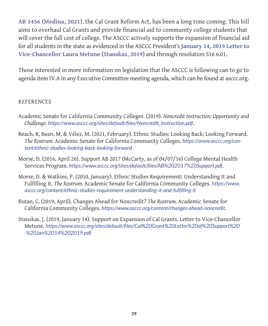**[AB 1456 \(Medina, 2021\)](https://leginfo.legislature.ca.gov/faces/billNavClient.xhtml?bill_id=202120220AB1456)**, the Cal Grant Reform Act, has been a long time coming. This bill aims to overhaul Cal Grants and provide financial aid to community college students that will cover the full cost of college. The ASCCC actively supports the expansion of financial aid for all students in the state as evidenced in the ASCCC President's **[January 14, 2019 Letter](https://www.asccc.org/sites/default/files/Cal%20Grant%20Letter%20of%20Support%20-%20Jan%2014%202019.pdf) to Vice-Chancellor Laura Metune (Stanskas, 2019)** and through resolution S16 6.01.

Those interested in more information on legislation that the ASCCC is following can to go to agenda item IV.A in any Executive Committee meeting agenda, which can be found at [asccc.org](http://asccc.org).

#### REFERENCES

- Academic Senate for California Community Colleges. (2019). *Noncredit Instruction: Opportunity and Challenge. [https://www.asccc.org/sites/default/files/Noncredit\\_Instruction.pdf](https://www.asccc.org/sites/default/files/Noncredit_Instruction.pdf)*.
- Beach, R, Bean, M, & Vélez, M. (2021, February). Ethnic Studies: Looking Back; Looking Forward. *The Rostrum.* Academic Senate for California Community Colleges. *[https://www.asccc.org/con](https://www.asccc.org/content/ethnic-studies-looking-back-looking-forward)[tent/ethnic-studies-looking-back-looking-forward](https://www.asccc.org/content/ethnic-studies-looking-back-looking-forward)*
- Morse, D. (2016, April 26). Support AB 2017 (McCarty, as of 04/07/16) College Mental Health Services Program. *<https://www.asccc.org/sites/default/files/AB%202017%20Support.pdf>.*
- Morse, D. & Watkins, P. (2010, January). Ethnic Studies Requirement: Understanding It and Fulfilling It. *The Rostrum.* Academic Senate for California Community Colleges. *[https://www.](https://www.asccc.org/content/ethnic-studies-requirement-understanding-it-and-fulfilling-it) [asccc.org/content/ethnic-studies-requirement-understanding-it-and-fulfilling-it](https://www.asccc.org/content/ethnic-studies-requirement-understanding-it-and-fulfilling-it)*
- Rutan, C. (2019, April). Changes Ahead for Noncredit? *The Rostrum.* Academic Senate for California Community Colleges. *<https://www.asccc.org/content/changes-ahead-noncredit>*.
- Stanskas, J. (2019, January 14). Support on Expansion of Cal Grants. Letter to Vice-Chancellor Metune. *[https://www.asccc.org/sites/default/files/Cal%20Grant%20Letter%20of%20Support%20](https://www.asccc.org/sites/default/files/Cal%20Grant%20Letter%20of%20Support%20-%20Jan%2014%202019.pdf) [-%20Jan%2014%202019.pdf](https://www.asccc.org/sites/default/files/Cal%20Grant%20Letter%20of%20Support%20-%20Jan%2014%202019.pdf)*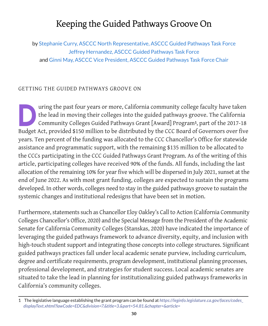# Keeping the Guided Pathways Groove On

<span id="page-31-0"></span>by Stephanie Curry, ASCCC North Representative, ASCCC Guided Pathways Task Force Jeffrey Hernandez, ASCCC Guided Pathways Task Force and Ginni May, ASCCC Vice President, ASCCC Guided Pathways Task Force Chair

#### GETTING THE GUIDED PATHWAYS GROOVE ON

uring the past four years or more, California community college faculty have taken<br>the lead in moving their colleges into the guided pathways groove. The California<br>Community Colleges Guided Pathways Grant [Award] Program<sup></sup> the lead in moving their colleges into the guided pathways groove. The California Community Colleges Guided Pathways Grant [Award] Program**1**, part of the 2017-18 Budget Act, provided \$150 million to be distributed by the CCC Board of Governors over five years. Ten percent of the funding was allocated to the CCC Chancellor's Office for statewide assistance and programmatic support, with the remaining \$135 million to be allocated to the CCCs participating in the CCC Guided Pathways Grant Program. As of the writing of this article, participating colleges have received 90% of the funds. All funds, including the last allocation of the remaining 10% for year five which will be dispersed in July 2021, sunset at the end of June 2022. As with most grant funding, colleges are expected to sustain the programs developed. In other words, colleges need to stay in the guided pathways groove to sustain the systemic changes and institutional redesigns that have been set in motion.

Furthermore, statements such as Chancellor Eloy Oakley's Call to Action (California Community Colleges Chancellor's Office, 2020) and the Special Message from the President of the Academic Senate for California Community Colleges (Stanskas, 2020) have indicated the importance of leveraging the guided pathways framework to advance diversity, equity, and inclusion with high-touch student support and integrating those concepts into college structures. Significant guided pathways practices fall under local academic senate purview, including curriculum, degree and certificate requirements, program development, institutional planning processes, professional development, and strategies for student success. Local academic senates are situated to take the lead in planning for institutionalizing guided pathways frameworks in California's community colleges.

<sup>1</sup> The legislative language establishing the grant program can be found at *[https://leginfo.legislature.ca.gov/faces/codes\\_](https://leginfo.legislature.ca.gov/faces/codes_displayText.xhtml?lawCode=EDC&division=7.&title=3.&part=54.81.&chapter=&article=) [displayText.xhtml?lawCode=EDC&division=7.&title=3.&part=54.81.&chapter=&article=](https://leginfo.legislature.ca.gov/faces/codes_displayText.xhtml?lawCode=EDC&division=7.&title=3.&part=54.81.&chapter=&article=)*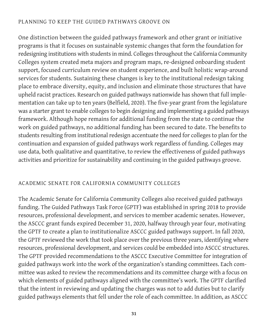#### PLANNING TO KEEP THE GUIDED PATHWAYS GROOVE ON

One distinction between the guided pathways framework and other grant or initiative programs is that it focuses on sustainable systemic changes that form the foundation for redesigning institutions with students in mind. Colleges throughout the California Community Colleges system created meta majors and program maps, re-designed onboarding student support, focused curriculum review on student experience, and built holistic wrap-around services for students. Sustaining these changes is key to the institutional redesign taking place to embrace diversity, equity, and inclusion and eliminate those structures that have upheld racist practices. Research on guided pathways nationwide has shown that full implementation can take up to ten years (Belfield, 2020). The five-year grant from the legislature was a starter grant to enable colleges to begin designing and implementing a guided pathways framework. Although hope remains for additional funding from the state to continue the work on guided pathways, no additional funding has been secured to date. The benefits to students resulting from institutional redesign accentuate the need for colleges to plan for the continuation and expansion of guided pathways work regardless of funding. Colleges may use data, both qualitative and quantitative, to review the effectiveness of guided pathways activities and prioritize for sustainability and continuing in the guided pathways groove.

#### ACADEMIC SENATE FOR CALIFORNIA COMMUNITY COLLEGES

The Academic Senate for California Community Colleges also received guided pathways funding. The Guided Pathways Task Force (GPTF) was established in spring 2018 to provide resources, professional development, and services to member academic senates. However, the ASCCC grant funds expired December 31, 2020, halfway through year four, motivating the GPTF to create a plan to institutionalize ASCCC guided pathways support. In fall 2020, the GPTF reviewed the work that took place over the previous three years, identifying where resources, professional development, and services could be embedded into ASCCC structures. The GPTF provided recommendations to the ASCCC Executive Committee for integration of guided pathways work into the work of the organization's standing committees. Each committee was asked to review the recommendations and its committee charge with a focus on which elements of guided pathways aligned with the committee's work. The GPTF clarified that the intent in reviewing and updating the charges was not to add duties but to clarify guided pathways elements that fell under the role of each committee. In addition, as ASCCC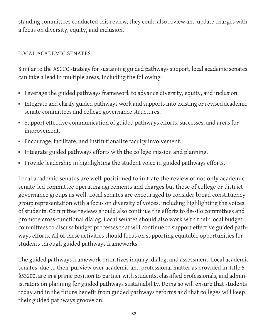standing committees conducted this review, they could also review and update charges with a focus on diversity, equity, and inclusion.

## LOCAL ACADEMIC SENATES

Similar to the ASCCC strategy for sustaining guided pathways support, local academic senates can take a lead in multiple areas, including the following:

- Leverage the guided pathways framework to advance diversity, equity, and inclusion.
- Integrate and clarify guided pathways work and supports into existing or revised academic senate committees and college governance structures.
- Support effective communication of guided pathways efforts, successes, and areas for improvement.
- Encourage, facilitate, and institutionalize faculty involvement.
- Integrate guided pathways efforts with the college mission and planning.
- Provide leadership in highlighting the student voice in guided pathways efforts.

Local academic senates are well-positioned to initiate the review of not only academic senate-led committee operating agreements and charges but those of college or district governance groups as well. Local senates are encouraged to consider broad constituency group representation with a focus on diversity of voices, including highlighting the voices of students. Committee reviews should also continue the efforts to de-silo committees and promote cross-functional dialog. Local senates should also work with their local budget committees to discuss budget processes that will continue to support effective guided pathways efforts. All of these activities should focus on supporting equitable opportunities for students through guided pathways frameworks.

The guided pathways framework prioritizes inquiry, dialog, and assessment. Local academic senates, due to their purview over academic and professional matter as provided in Title 5 §53200, are in a prime position to partner with students, classified professionals, and administrators on planning for guided pathways sustainability. Doing so will ensure that students today and in the future benefit from guided pathways reforms and that colleges will keep their guided pathways groove on.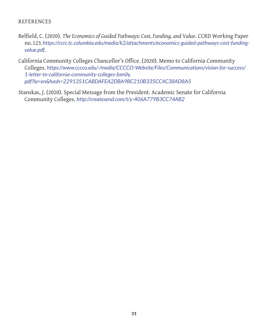#### REFERENCES

- Belfield, C. (2020). *The Economics of Guided Pathways: Cost, Funding, and Value*. CCRD Working Paper no. 123.*[https://ccrc.tc.columbia.edu/media/k2/attachments/economics-guided-pathways-cost-funding](https://ccrc.tc.columbia.edu/media/k2/attachments/economics-guided-pathways-cost-funding-value.pdf)[value.pdf](https://ccrc.tc.columbia.edu/media/k2/attachments/economics-guided-pathways-cost-funding-value.pdf)*.
- California Community Colleges Chancellor's Office. (2020). Memo to California Community Colleges. *[https://www.cccco.edu/-/media/CCCCO-Website/Files/Communications/vision-for-success/](https://www.cccco.edu/-/media/CCCCO-Website/Files/Communications/vision-for-success/1-letter-to-california-community-colleges-family.pdf?la=en&hash=2291351CABDAFEA2DBA9BC210B335CC4C38AD8A5) [1-letter-to-california-community-colleges-family.](https://www.cccco.edu/-/media/CCCCO-Website/Files/Communications/vision-for-success/1-letter-to-california-community-colleges-family.pdf?la=en&hash=2291351CABDAFEA2DBA9BC210B335CC4C38AD8A5) [pdf?la=en&hash=2291351CABDAFEA2DBA9BC210B335CC4C38AD8A5](https://www.cccco.edu/-/media/CCCCO-Website/Files/Communications/vision-for-success/1-letter-to-california-community-colleges-family.pdf?la=en&hash=2291351CABDAFEA2DBA9BC210B335CC4C38AD8A5)*
- Stanskas, J. (2020). Special Message from the President. Academic Senate for California Community Colleges. *<http://createsend.com/t/y-406A779B3CC74AB2>*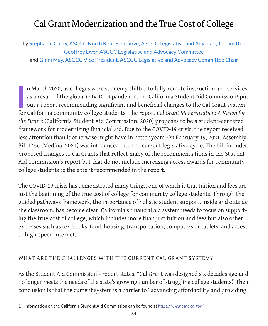# <span id="page-35-0"></span>Cal Grant Modernization and the True Cost of College

by Stephanie Curry, ASCCC North Representative, ASCCC Legislative and Advocacy Committee Geoffrey Dyer, ASCCC Legislative and Advocacy Committee and Ginni May, ASCCC Vice President, ASCCC Legislative and Advocacy Committee Chair

**I**<br>*I* n March 2020, as colleges were suddenly shifted to fully remote instruction and services as a result of the global COVID-19 pandemic, the California Student Aid Commission**1** put out a report recommending significant and beneficial changes to the Cal Grant system for California community college students. The report *Cal Grant Modernization: A Vision for the Future* (California Student Aid Commission, 2020) proposes to be a student-centered framework for modernizing financial aid. Due to the COVID-19 crisis, the report received less attention than it otherwise might have in better years. On February 19, 2021, Assembly Bill 1456 (Medina, 2021) was introduced into the current legislative cycle. The bill includes proposed changes to Cal Grants that reflect many of the recommendations in the Student Aid Commission's report but that do not include increasing access awards for community college students to the extent recommended in the report.

The COVID-19 crisis has demonstrated many things, one of which is that tuition and fees are just the beginning of the true cost of college for community college students. Through the guided pathways framework, the importance of holistic student support, inside and outside the classroom, has become clear. California's financial aid system needs to focus on supporting the true cost of college, which includes more than just tuition and fees but also other expenses such as textbooks, food, housing, transportation, computers or tablets, and access to high-speed internet.

#### WHAT ARE THE CHALLENGES WITH THE CURRENT CAL GRANT SYSTEM?

As the Student Aid Commission's report states, "Cal Grant was designed six decades ago and no longer meets the needs of the state's growing number of struggling college students." Their conclusion is that the current system is a barrier to "advancing affordability and providing

<sup>1</sup> Information on the California Student Aid Commission can be found at *<https://www.csac.ca.gov/>*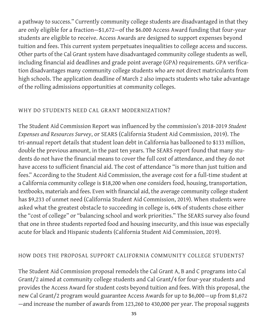a pathway to success." Currently community college students are disadvantaged in that they are only eligible for a fraction—\$1,672—of the \$6.000 Access Award funding that four-year students are eligible to receive. Access Awards are designed to support expenses beyond tuition and fees. This current system perpetuates inequalities to college access and success. Other parts of the Cal Grant system have disadvantaged community college students as well, including financial aid deadlines and grade point average (GPA) requirements. GPA verification disadvantages many community college students who are not direct matriculants from high schools. The application deadline of March 2 also impacts students who take advantage of the rolling admissions opportunities at community colleges.

## WHY DO STUDENTS NEED CAL GRANT MODERNIZATION?

The Student Aid Commission Report was influenced by the commission's 2018-2019 *Student Expenses and Resources Survey*, or SEARS (California Student Aid Commission, 2019). The tri-annual report details that student loan debt in California has ballooned to \$133 million, double the previous amount, in the past ten years. The SEARS report found that many students do not have the financial means to cover the full cost of attendance, and they do not have access to sufficient financial aid. The cost of attendance "is more than just tuition and fees." According to the Student Aid Commission, the average cost for a full-time student at a California community college is \$18,200 when one considers food, housing, transportation, textbooks, materials and fees. Even with financial aid, the average community college student has \$9,233 of unmet need (California Student Aid Commission, 2019). When students were asked what the greatest obstacle to succeeding in college is, 64% of students chose either the "cost of college" or "balancing school and work priorities." The SEARS survey also found that one in three students reported food and housing insecurity, and this issue was especially acute for black and Hispanic students (California Student Aid Commission, 2019).

#### HOW DOES THE PROPOSAL SUPPORT CALIFORNIA COMMUNITY COLLEGE STUDENTS?

The Student Aid Commission proposal remodels the Cal Grant A, B and C programs into Cal Grant/2 aimed at community college students and Cal Grant/4 for four-year students and provides the Access Award for student costs beyond tuition and fees. With this proposal, the new Cal Grant/2 program would guarantee Access Awards for up to \$6,000—up from \$1,672 —and increase the number of awards from 123,260 to 430,000 per year. The proposal suggests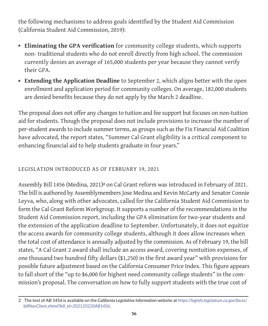the following mechanisms to address goals identified by the Student Aid Commission (California Student Aid Commission, 2019):

- **Eliminating the GPA verification** for community college students, which supports non- traditional students who do not enroll directly from high school. The commission currently denies an average of 165,000 students per year because they cannot verify their GPA.
- **Extending the Application Deadline** to September 2, which aligns better with the open enrollment and application period for community colleges. On average, 182,000 students are denied benefits because they do not apply by the March 2 deadline.

The proposal does not offer any changes to tuition and fee support but focuses on non-tuition aid for students. Though the proposal does not include provisions to increase the number of per-student awards to include summer terms, as groups such as the Fix Financial Aid Coalition have advocated, the report states, "Summer Cal Grant eligibility is a critical component to enhancing financial aid to help students graduate in four years."

## LEGISLATION INTRODUCED AS OF FEBRUARY 19, 2021

Assembly Bill 1456 (Medina, 2021)**2** on Cal Grant reform was introduced in February of 2021. The bill is authored by Assemblymembers Jose Medina and Kevin McCarty and Senator Connie Leyva, who, along with other advocates, called for the California Student Aid Commission to form the Cal Grant Reform Workgroup. It supports a number of the recommendations in the Student Aid Commission report, including the GPA elimination for two-year students and the extension of the application deadline to September. Unfortunately, it does not equitize the access awards for community college students, although it does allow increases when the total cost of attendance is annually adjusted by the commission. As of February 19, the bill states, "A Cal Grant 2 award shall include an access award, covering nontuition expenses, of one thousand two hundred fifty dollars (\$1,250) in the first award year" with provisions for possible future adjustment based on the California Consumer Price Index. This figure appears to fall short of the "up to \$6,000 for highest need community college students" in the commission's proposal. The conversation on how to fully support students with the true cost of

<sup>2</sup> The text of AB 1456 is available on the *California Legislative Information* website at *[https://leginfo.legislature.ca.gov/faces/](https://leginfo.legislature.ca.gov/faces/billNavClient.xhtml?bill_id=202120220AB1456) [billNavClient.xhtml?bill\\_id=202120220AB1456](https://leginfo.legislature.ca.gov/faces/billNavClient.xhtml?bill_id=202120220AB1456)*.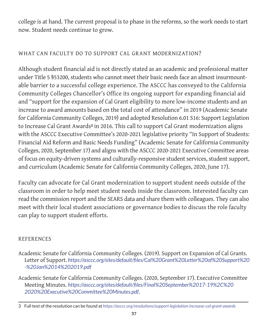college is at hand. The current proposal is to phase in the reforms, so the work needs to start now. Student needs continue to grow.

## WHAT CAN FACULTY DO TO SUPPORT CAL GRANT MODERNIZATION?

Although student financial aid is not directly stated as an academic and professional matter under Title 5 §53200, students who cannot meet their basic needs face an almost insurmountable barrier to a successful college experience. The ASCCC has conveyed to the California Community Colleges Chancellor's Office its ongoing support for expanding financial aid and "support for the expansion of Cal Grant eligibility to more low-income students and an increase to award amounts based on the total cost of attendance" in 2019 (Academic Senate for California Community Colleges, 2019) and adopted Resolution 6.01 S16: Support Legislation to Increase Cal Grant Awards**3** in 2016. This call to support Cal Grant modernization aligns with the ASCCC Executive Committee's 2020-2021 legislative priority "In Support of Students: Financial Aid Reform and Basic Needs Funding" (Academic Senate for California Community Colleges, 2020, September 17) and aligns with the ASCCC 2020-2021 Executive Committee areas of focus on equity-driven systems and culturally-responsive student services, student support, and curriculum (Academic Senate for California Community Colleges, 2020, June 17).

Faculty can advocate for Cal Grant modernization to support student needs outside of the classroom in order to help meet student needs inside the classroom. Interested faculty can read the [commission report](https://www.csac.ca.gov/sites/main/files/file-attachments/cal_grant_program_averages_2020-21.pdf?1612287641) and the [SEARS](https://www.csac.ca.gov/sites/main/files/file-attachments/2018-19_student_expenses_and_resources_survey_web.pdf?1575327209) data and share them with colleagues. They can also meet with their local student associations or governance bodies to discuss the role faculty can play to support student efforts.

## **REFERENCES**

- Academic Senate for California Community Colleges. (2019). Support on Expansion of Cal Grants. Letter of Support. *[https://asccc.org/sites/default/files/Cal%20Grant%20Letter%20of%20Support%20](https://asccc.org/sites/default/files/Cal%20Grant%20Letter%20of%20Support%20-%20Jan%2014%202019.pdf) [-%20Jan%2014%202019.pdf](https://asccc.org/sites/default/files/Cal%20Grant%20Letter%20of%20Support%20-%20Jan%2014%202019.pdf)*
- Academic Senate for California Community Colleges. (2020, September 17). Executive Committee Meeting Minutes. *[https://asccc.org/sites/default/files/Final%20September%2017-19%2C%20](https://asccc.org/sites/default/files/Final%20September%2017-19%2C%202020%20Executive%20Committee%20Minutes.pdf) [2020%20Executive%20Committee%20Minutes.pdf](https://asccc.org/sites/default/files/Final%20September%2017-19%2C%202020%20Executive%20Committee%20Minutes.pdf)*.

<sup>3</sup> Full text of the resolution can be found at *<https://asccc.org/resolutions/support-legislation-increase-cal-grant-awards>*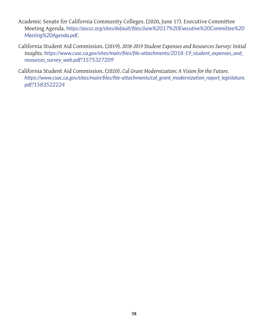- Academic Senate for California Community Colleges. (2020, June 17). Executive Committee Meeting Agenda. *[https://asccc.org/sites/default/files/June%2017%20Executive%20Committee%20](https://asccc.org/sites/default/files/June%2017%20Executive%20Committee%20Meeting%20Agenda.pdf) [Meeting%20Agenda.pdf](https://asccc.org/sites/default/files/June%2017%20Executive%20Committee%20Meeting%20Agenda.pdf)*.
- California Student Aid Commission. (2019)*. 2018-2019 Student Expenses and Resources Survey: Initial Insights. [https://www.csac.ca.gov/sites/main/files/file-attachments/2018-19\\_student\\_expenses\\_and\\_](https://www.csac.ca.gov/sites/main/files/file-attachments/2018-19_student_expenses_and_resources_survey_web.pdf?1575327209) [resources\\_survey\\_web.pdf?1575327209](https://www.csac.ca.gov/sites/main/files/file-attachments/2018-19_student_expenses_and_resources_survey_web.pdf?1575327209)*
- California Student Aid Commission. (2020). *Cal Grant Modernization: A Vision for the Future. [https://www.csac.ca.gov/sites/main/files/file-attachments/cal\\_grant\\_modernization\\_report\\_legislature.](https://www.csac.ca.gov/sites/main/files/file-attachments/cal_grant_modernization_report_legislature.pdf?1583522224) [pdf?1583522224](https://www.csac.ca.gov/sites/main/files/file-attachments/cal_grant_modernization_report_legislature.pdf?1583522224)*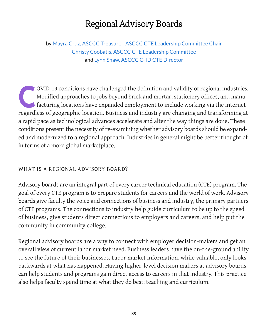# Regional Advisory Boards

<span id="page-40-0"></span>by Mayra Cruz, ASCCC Treasurer, ASCCC CTE Leadership Committee Chair Christy Coobatis, ASCCC CTE Leadership Committee and Lynn Shaw, ASCCC C-ID CTE Director

OVID-19 conditions have challenged the definition and validity of regional industries.<br>Modified approaches to jobs beyond brick and mortar, stationery offices, and manu-<br>facturing locations have expanded employment to incl Modified approaches to jobs beyond brick and mortar, stationery offices, and manufacturing locations have expanded employment to include working via the internet regardless of geographic location. Business and industry are changing and transforming at a rapid pace as technological advances accelerate and alter the way things are done. These conditions present the necessity of re-examining whether advisory boards should be expanded and modernized to a regional approach. Industries in general might be better thought of in terms of a more global marketplace.

#### WHAT IS A REGIONAL ADVISORY BOARD?

Advisory boards are an integral part of every career technical education (CTE) program. The goal of every CTE program is to prepare students for careers and the world of work. Advisory boards give faculty the voice and connections of business and industry, the primary partners of CTE programs. The connections to industry help guide curriculum to be up to the speed of business, give students direct connections to employers and careers, and help put the community in community college.

Regional advisory boards are a way to connect with employer decision-makers and get an overall view of current labor market need. Business leaders have the on-the-ground ability to see the future of their businesses. Labor market information, while valuable, only looks backwards at what has happened. Having higher-level decision makers at advisory boards can help students and programs gain direct access to careers in that industry. This practice also helps faculty spend time at what they do best: teaching and curriculum.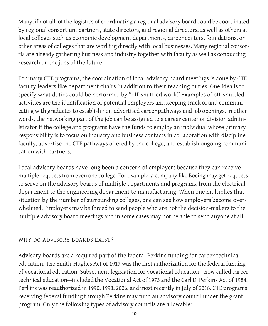Many, if not all, of the logistics of coordinating a regional advisory board could be coordinated by regional consortium partners, state directors, and regional directors, as well as others at local colleges such as economic development departments, career centers, foundations, or other areas of colleges that are working directly with local businesses. Many regional consortia are already gathering business and industry together with faculty as well as conducting research on the jobs of the future.

For many CTE programs, the coordination of local advisory board meetings is done by CTE faculty leaders like department chairs in addition to their teaching duties. One idea is to specify what duties could be performed by "off-shuttled work." Examples of off-shuttled activities are the identification of potential employers and keeping track of and communicating with graduates to establish non-advertised career pathways and job openings. In other words, the networking part of the job can be assigned to a career center or division administrator if the college and programs have the funds to employ an individual whose primary responsibility is to focus on industry and business contacts in collaboration with discipline faculty, advertise the CTE pathways offered by the college, and establish ongoing communication with partners.

Local advisory boards have long been a concern of employers because they can receive multiple requests from even one college. For example, a company like Boeing may get requests to serve on the advisory boards of multiple departments and programs, from the electrical department to the engineering department to manufacturing. When one multiplies that situation by the number of surrounding colleges, one can see how employers become overwhelmed. Employers may be forced to send people who are not the decision-makers to the multiple advisory board meetings and in some cases may not be able to send anyone at all.

#### WHY DO ADVISORY BOARDS EXIST?

Advisory boards are a required part of the federal Perkins funding for career technical education. The Smith-Hughes Act of 1917 was the first authorization for the federal funding of vocational education. Subsequent legislation for vocational education—now called career technical education—included the Vocational Act of 1973 and the Carl D. Perkins Act of 1984. Perkins was reauthorized in 1990, 1998, 2006, and most recently in July of 2018. CTE programs receiving federal funding through Perkins may fund an advisory council under the grant program. Only the following types of advisory councils are allowable: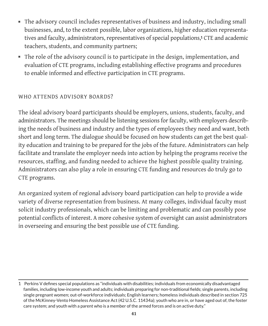- The advisory council includes representatives of business and industry, including small businesses, and, to the extent possible, labor organizations, higher education representatives and faculty, administrators, representatives of special populations,**1** CTE and academic teachers, students, and community partners;
- The role of the advisory council is to participate in the design, implementation, and evaluation of CTE programs, including establishing effective programs and procedures to enable informed and effective participation in CTE programs.

## WHO ATTENDS ADVISORY BOARDS?

The ideal advisory board participants should be employers, unions, students, faculty, and administrators. The meetings should be listening sessions for faculty, with employers describing the needs of business and industry and the types of employees they need and want, both short and long term. The dialogue should be focused on how students can get the best quality education and training to be prepared for the jobs of the future. Administrators can help facilitate and translate the employer needs into action by helping the programs receive the resources, staffing, and funding needed to achieve the highest possible quality training. Administrators can also play a role in ensuring CTE funding and resources do truly go to CTE programs.

An organized system of regional advisory board participation can help to provide a wide variety of diverse representation from business. At many colleges, individual faculty must solicit industry professionals, which can be limiting and problematic and can possibly pose potential conflicts of interest. A more cohesive system of oversight can assist administrators in overseeing and ensuring the best possible use of CTE funding.

<sup>1</sup> Perkins V defines special populations as "individuals with disabilities; individuals from economically disadvantaged families, including low-income youth and adults; individuals preparing for non-traditional fields; single parents, including single pregnant women; out-of-workforce individuals; English learners; homeless individuals described in section 725 of the McKinney-Vento Homeless Assistance Act (42 U.S.C. 11434a); youth who are in, or have aged out of, the foster care system; and youth with a parent who is a member of the armed forces and is on active duty."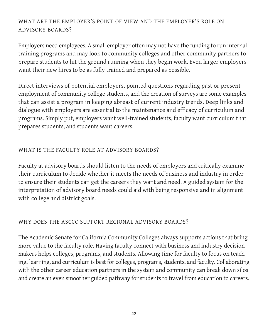# WHAT ARE THE EMPLOYER'S POINT OF VIEW AND THE EMPLOYER'S ROLE ON ADVISORY BOARDS?

Employers need employees. A small employer often may not have the funding to run internal training programs and may look to community colleges and other community partners to prepare students to hit the ground running when they begin work. Even larger employers want their new hires to be as fully trained and prepared as possible.

Direct interviews of potential employers, pointed questions regarding past or present employment of community college students, and the creation of surveys are some examples that can assist a program in keeping abreast of current industry trends. Deep links and dialogue with employers are essential to the maintenance and efficacy of curriculum and programs. Simply put, employers want well-trained students, faculty want curriculum that prepares students, and students want careers.

## WHAT IS THE FACULTY ROLE AT ADVISORY BOARDS?

Faculty at advisory boards should listen to the needs of employers and critically examine their curriculum to decide whether it meets the needs of business and industry in order to ensure their students can get the careers they want and need. A guided system for the interpretation of advisory board needs could aid with being responsive and in alignment with college and district goals.

#### WHY DOES THE ASCCC SUPPORT REGIONAL ADVISORY BOARDS?

The Academic Senate for California Community Colleges always supports actions that bring more value to the faculty role. Having faculty connect with business and industry decisionmakers helps colleges, programs, and students. Allowing time for faculty to focus on teaching, learning, and curriculum is best for colleges, programs, students, and faculty. Collaborating with the other career education partners in the system and community can break down silos and create an even smoother guided pathway for students to travel from education to careers.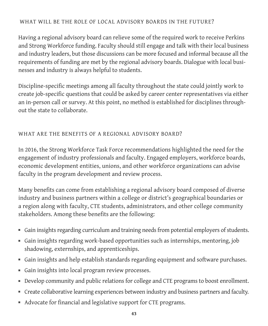## WHAT WILL BE THE ROLE OF LOCAL ADVISORY BOARDS IN THE FUTURE?

Having a regional advisory board can relieve some of the required work to receive Perkins and Strong Workforce funding. Faculty should still engage and talk with their local business and industry leaders, but those discussions can be more focused and informal because all the requirements of funding are met by the regional advisory boards. Dialogue with local businesses and industry is always helpful to students.

Discipline-specific meetings among all faculty throughout the state could jointly work to create job-specific questions that could be asked by career center representatives via either an in-person call or survey. At this point, no method is established for disciplines throughout the state to collaborate.

## WHAT ARE THE BENEFITS OF A REGIONAL ADVISORY BOARD?

In 2016, the Strong Workforce Task Force recommendations highlighted the need for the engagement of industry professionals and faculty. Engaged employers, workforce boards, economic development entities, unions, and other workforce organizations can advise faculty in the program development and review process.

Many benefits can come from establishing a regional advisory board composed of diverse industry and business partners within a college or district's geographical boundaries or a region along with faculty, CTE students, administrators, and other college community stakeholders. Among these benefits are the following:

- Gain insights regarding curriculum and training needs from potential employers of students.
- Gain insights regarding work-based opportunities such as internships, mentoring, job shadowing, externships, and apprenticeships.
- Gain insights and help establish standards regarding equipment and software purchases.
- Gain insights into local program review processes.
- Develop community and public relations for college and CTE programs to boost enrollment.
- Create collaborative learning experiences between industry and business partners and faculty.
- Advocate for financial and legislative support for CTE programs.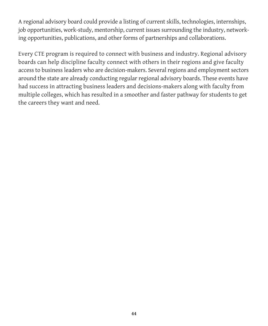A regional advisory board could provide a listing of current skills, technologies, internships, job opportunities, work-study, mentorship, current issues surrounding the industry, networking opportunities, publications, and other forms of partnerships and collaborations.

Every CTE program is required to connect with business and industry. Regional advisory boards can help discipline faculty connect with others in their regions and give faculty access to business leaders who are decision-makers. Several regions and employment sectors around the state are already conducting regular regional advisory boards. These events have had success in attracting business leaders and decisions-makers along with faculty from multiple colleges, which has resulted in a smoother and faster pathway for students to get the careers they want and need.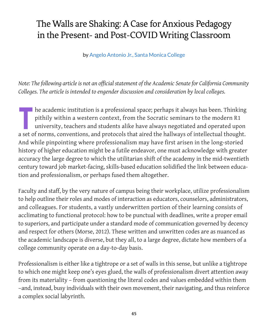# <span id="page-46-0"></span>The Walls are Shaking: A Case for Anxious Pedagogy in the Present- and Post-COVID Writing Classroom

by Angelo Antonio Jr., Santa Monica College

*Note: The following article is not an official statement of the Academic Senate for California Community Colleges. The article is intended to engender discussion and consideration by local colleges.*

**The academic institution is a professional space; perhaps it always has been. Thinking** pithily within a western context, from the Socratic seminars to the modern R1 university, teachers and students alike have always negotiated and operated upon a set of norms, conventions, and protocols that aired the hallways of intellectual thought. And while pinpointing where professionalism may have first arisen in the long-storied history of higher education might be a futile endeavor, one must acknowledge with greater accuracy the large degree to which the utilitarian shift of the academy in the mid-twentieth century toward job market-facing, skills-based education solidified the link between education and professionalism, or perhaps fused them altogether.

Faculty and staff, by the very nature of campus being their workplace, utilize professionalism to help outline their roles and modes of interaction as educators, counselors, administrators, and colleagues. For students, a vastly underwritten portion of their learning consists of acclimating to functional protocol: how to be punctual with deadlines, write a proper email to superiors, and participate under a standard mode of communication governed by decency and respect for others (Morse, 2012). These written and unwritten codes are as nuanced as the academic landscape is diverse, but they all, to a large degree, dictate how members of a college community operate on a day-to-day basis.

Professionalism is either like a tightrope or a set of walls in this sense, but unlike a tightrope to which one might keep one's eyes glued, the walls of professionalism divert attention away from its materiality – from questioning the literal codes and values embedded within them –and, instead, busy individuals with their own movement, their navigating, and thus reinforce a complex social labyrinth.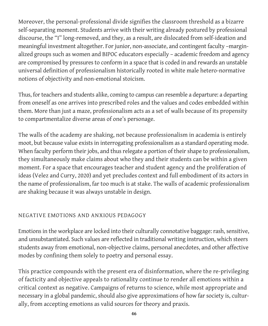Moreover, the personal-professional divide signifies the classroom threshold as a bizarre self-separating moment. Students arrive with their writing already postured by professional discourse, the "I" long-removed, and they, as a result, are dislocated from self-ideation and meaningful investment altogether. For junior, non-associate, and contingent faculty –marginalized groups such as women and BIPOC educators especially – academic freedom and agency are compromised by pressures to conform in a space that is coded in and rewards an unstable universal definition of professionalism historically rooted in white male hetero-normative notions of objectivity and non-emotional stoicism.

Thus, for teachers and students alike, coming to campus can resemble a departure: a departing from oneself as one arrives into prescribed roles and the values and codes embedded within them. More than just a maze, professionalism acts as a set of walls because of its propensity to compartmentalize diverse areas of one's personage.

The walls of the academy are shaking, not because professionalism in academia is entirely moot, but because value exists in interrogating professionalism as a standard operating mode. When faculty perform their jobs, and thus relegate a portion of their shape to professionalism, they simultaneously make claims about who they and their students can be within a given moment. For a space that encourages teacher and student agency and the proliferation of ideas (Velez and Curry, 2020) and yet precludes context and full embodiment of its actors in the name of professionalism, far too much is at stake. The walls of academic professionalism are shaking because it was always unstable in design.

# NEGATIVE EMOTIONS AND ANXIOUS PEDAGOGY

Emotions in the workplace are locked into their culturally connotative baggage: rash, sensitive, and unsubstantiated. Such values are reflected in traditional writing instruction, which steers students away from emotional, non-objective claims, personal anecdotes, and other affective modes by confining them solely to poetry and personal essay.

This practice compounds with the present era of disinformation, where the re-privileging of facticity and objective appeals to rationality continue to render all emotions within a critical context as negative. Campaigns of returns to science, while most appropriate and necessary in a global pandemic, should also give approximations of how far society is, culturally, from accepting emotions as valid sources for theory and praxis.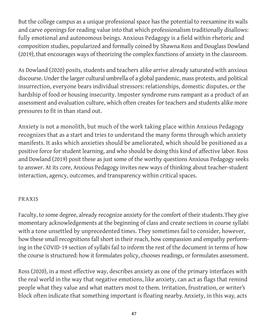But the college campus as a unique professional space has the potential to reexamine its walls and carve openings for reading value into that which professionalism traditionally disallows: fully emotional and autonomous beings. Anxious Pedagogy is a field within rhetoric and composition studies, popularized and formally coined by Shawna Ross and Douglass Dowland (2019), that encourages ways of theorizing the complex functions of anxiety in the classroom.

As Dowland (2020) posits, students and teachers alike arrive already saturated with anxious discourse. Under the larger cultural umbrella of a global pandemic, mass protests, and political insurrection, everyone bears individual stressors: relationships, domestic disputes, or the hardship of food or housing insecurity. Imposter syndrome runs rampant as a product of an assessment and evaluation culture, which often creates for teachers and students alike more pressures to fit in than stand out.

Anxiety is not a monolith, but much of the work taking place within Anxious Pedagogy recognizes that as a start and tries to understand the many forms through which anxiety manifests. It asks which anxieties should be ameliorated, which should be positioned as a positive force for student learning, and who should be doing this kind of affective labor. Ross and Dowland (2019) posit these as just some of the worthy questions Anxious Pedagogy seeks to answer. At its core, Anxious Pedagogy invites new ways of thinking about teacher-student interaction, agency, outcomes, and transparency within critical spaces.

#### PRAXIS

Faculty, to some degree, already recognize anxiety for the comfort of their students. They give momentary acknowledgements at the beginning of class and create sections in course syllabi with a tone unsettled by unprecedented times. They sometimes fail to consider, however, how these small recognitions fall short in their reach, how compassion and empathy performing in the COVID-19 section of syllabi fail to inform the rest of the document in terms of how the course is structured: how it formulates policy, chooses readings, or formulates assessment.

Ross (2020), in a most effective way, describes anxiety as one of the primary interfaces with the real world in the way that negative emotions, like anxiety, can act as flags that remind people what they value and what matters most to them. Irritation, frustration, or writer's block often indicate that something important is floating nearby. Anxiety, in this way, acts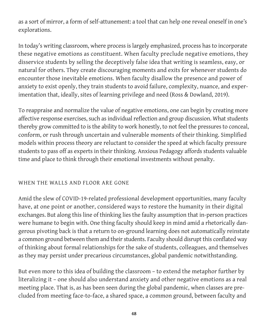as a sort of mirror, a form of self-attunement: a tool that can help one reveal oneself in one's explorations.

In today's writing classroom, where process is largely emphasized, process has to incorporate these negative emotions as constituent. When faculty preclude negative emotions, they disservice students by selling the deceptively false idea that writing is seamless, easy, or natural for others. They create discouraging moments and exits for whenever students do encounter those inevitable emotions. When faculty disallow the presence and power of anxiety to exist openly, they train students to avoid failure, complexity, nuance, and experimentation that, ideally, sites of learning privilege and need (Ross & Dowland, 2019).

To reappraise and normalize the value of negative emotions, one can begin by creating more affective response exercises, such as individual reflection and group discussion. What students thereby grow committed to is the ability to work honestly, to not feel the pressures to conceal, conform, or rush through uncertain and vulnerable moments of their thinking. Simplified models within process theory are reluctant to consider the speed at which faculty pressure students to pass off as experts in their thinking. Anxious Pedagogy affords students valuable time and place to think through their emotional investments without penalty.

#### WHEN THE WALLS AND FLOOR ARE GONE

Amid the slew of COVID-19-related professional development opportunities, many faculty have, at one point or another, considered ways to restore the humanity in their digital exchanges. But along this line of thinking lies the faulty assumption that in-person practices were humane to begin with. One thing faculty should keep in mind amid a rhetorically dangerous pivoting back is that a return to on-ground learning does not automatically reinstate a common ground between them and their students. Faculty should disrupt this conflated way of thinking about formal relationships for the sake of students, colleagues, and themselves as they may persist under precarious circumstances, global pandemic notwithstanding.

But even more to this idea of building the classroom – to extend the metaphor further by literalizing it – one should also understand anxiety and other negative emotions as a real meeting place. That is, as has been seen during the global pandemic, when classes are precluded from meeting face-to-face, a shared space, a common ground, between faculty and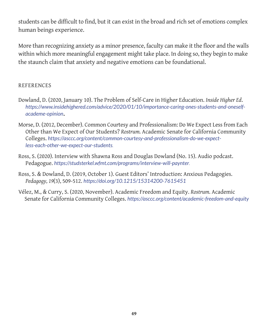students can be difficult to find, but it can exist in the broad and rich set of emotions complex human beings experience.

More than recognizing anxiety as a minor presence, faculty can make it the floor and the walls within which more meaningful engagement might take place. In doing so, they begin to make the staunch claim that anxiety and negative emotions can be foundational.

#### REFERENCES

- Dowland, D. (2020, January 10). The Problem of Self-Care in Higher Education. *Inside Higher Ed*. *[https://www.insidehighered.com/advice/2020/01/10/importance-caring-ones-students-and-oneself](https://www.insidehighered.com/advice/2020/01/10/importance-caring-ones-students-and-oneself-)academe-opinion***.**
- Morse, D. (2012, December). Common Courtesy and Professionalism: Do We Expect Less from Each Other than We Expect of Our Students? *Rostrum.* Academic Senate for California Community Colleges. *[https://asccc.org/content/common-courtesy-and-professionalism-do-we-expect](https://studsterkel.wfmt.com/programs/interview-will-paynter)[less-each-other-we-expect-our-students](https://studsterkel.wfmt.com/programs/interview-will-paynter).*
- Ross, S. (2020). Interview with Shawna Ross and Douglas Dowland (No. 15). Audio podcast. Pedagogue. *<https://studsterkel.wfmt.com/programs/interview-will-paynter>.*
- Ross, S. & Dowland, D. (2019, October 1). Guest Editors' Introduction: Anxious Pedagogies. *Pedagogy, 19*(3), 509-512. *<https://doi.org/10.1215/15314200-7615451>*
- Vélez, M., & Curry, S. (2020, November). Academic Freedom and Equity. *Rostrum.* Academic Senate for California Community Colleges. *<https://asccc.org/content/academic-freedom-and-equity>*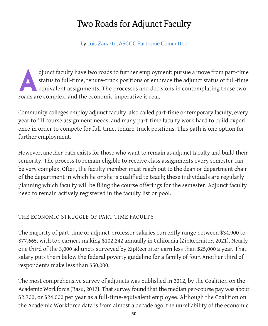# Two Roads for Adjunct Faculty

by Luis Zanartu, ASCCC Part-time Committee

<span id="page-51-0"></span>djunct faculty have two roads to further employment: pursue a move from part-time<br>status to full-time, tenure-track positions or embrace the adjunct status of full-time<br>equivalent assignments. The processes and decisions i status to full-time, tenure-track positions or embrace the adjunct status of full-time equivalent assignments. The processes and decisions in contemplating these two roads are complex, and the economic imperative is real.

Community colleges employ adjunct faculty, also called part-time or temporary faculty, every year to fill course assignment needs, and many part-time faculty work hard to build experience in order to compete for full-time, tenure-track positions. This path is one option for further employment.

However, another path exists for those who want to remain as adjunct faculty and build their seniority. The process to remain eligible to receive class assignments every semester can be very complex. Often, the faculty member must reach out to the dean or department chair of the department in which he or she is qualified to teach; these individuals are regularly planning which faculty will be filing the course offerings for the semester. Adjunct faculty need to remain actively registered in the faculty list or pool.

# THE ECONOMIC STRUGGLE OF PART-TIME FACULTY

The majority of part-time or adjunct professor salaries currently range between \$34,900 to \$77,665, with top earners making \$102,242 annually in California (ZipRecruiter, 2021). Nearly one third of the 3,000 adjuncts surveyed by ZipRecruiter earn less than \$25,000 a year. That salary puts them below the federal poverty guideline for a family of four. Another third of respondents make less than \$50,000.

The most comprehensive survey of adjuncts was published in 2012, by the Coalition on the Academic Workforce (Basu, 2012). That survey found that the median per-course pay was about \$2,700, or \$24,000 per year as a full-time-equivalent employee. Although the Coalition on the Academic Workforce data is from almost a decade ago, the unreliability of the economic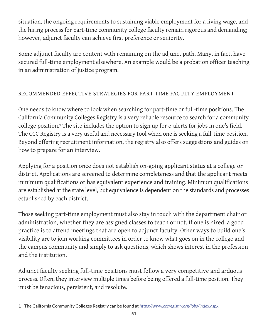situation, the ongoing requirements to sustaining viable employment for a living wage, and the hiring process for part-time community college faculty remain rigorous and demanding; however, adjunct faculty can achieve first preference or seniority.

Some adjunct faculty are content with remaining on the adjunct path. Many, in fact, have secured full-time employment elsewhere. An example would be a probation officer teaching in an administration of justice program.

## RECOMMENDED EFFECTIVE STRATEGIES FOR PART-TIME FACULTY EMPLOYMENT

One needs to know where to look when searching for part-time or full-time positions. The California Community Colleges Registry is a very reliable resource to search for a community college position. **<sup>1</sup>** The site includes the option to sign up for e-alerts for jobs in one's field. The CCC Registry is a very useful and necessary tool when one is seeking a full-time position. Beyond offering recruitment information, the registry also offers suggestions and guides on how to prepare for an interview.

Applying for a position once does not establish on-going applicant status at a college or district. Applications are screened to determine completeness and that the applicant meets minimum qualifications or has equivalent experience and training. Minimum qualifications are established at the state level, but equivalence is dependent on the standards and processes established by each district.

Those seeking part-time employment must also stay in touch with the department chair or administration, whether they are assigned classes to teach or not. If one is hired, a good practice is to attend meetings that are open to adjunct faculty. Other ways to build one's visibility are to join working committees in order to know what goes on in the college and the campus community and simply to ask questions, which shows interest in the profession and the institution.

Adjunct faculty seeking full-time positions must follow a very competitive and arduous process. Often, they interview multiple times before being offered a full-time position. They must be tenacious, persistent, and resolute.

<sup>1</sup> The California Community Colleges Registry can be found at *<https://www.cccregistry.org/jobs/index.aspx>*.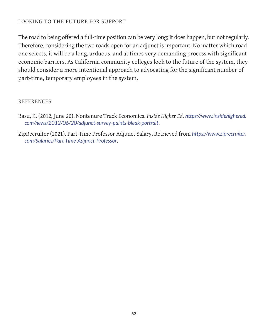#### LOOKING TO THE FUTURE FOR SUPPORT

The road to being offered a full-time position can be very long; it does happen, but not regularly. Therefore, considering the two roads open for an adjunct is important. No matter which road one selects, it will be a long, arduous, and at times very demanding process with significant economic barriers. As California community colleges look to the future of the system, they should consider a more intentional approach to advocating for the significant number of part-time, temporary employees in the system.

#### REFERENCES

- Basu, K. (2012, June 20). Nontenure Track Economics. *Inside Higher Ed*. *[https://www.insidehighered.](https://www.insidehighered.com/news/2012/06/20/adjunct-survey-paints-bleak-portrait) [com/news/2012/06/20/adjunct-survey-paints-bleak-portrait](https://www.insidehighered.com/news/2012/06/20/adjunct-survey-paints-bleak-portrait)*.
- ZipRecruiter (2021). Part Time Professor Adjunct Salary. Retrieved from *[https://www.ziprecruiter.](https://www.ziprecruiter.com/Salaries/Part-Time-Adjunct-Professor) [com/Salaries/Part-Time-Adjunct-Professor](https://www.ziprecruiter.com/Salaries/Part-Time-Adjunct-Professor)*.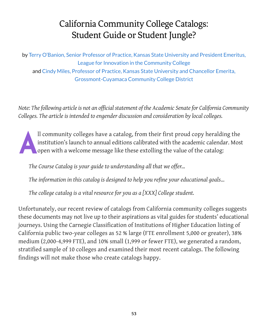# California Community College Catalogs: Student Guide or Student Jungle?

<span id="page-54-0"></span>by Terry O'Banion, Senior Professor of Practice, Kansas State University and President Emeritus, League for Innovation in the Community College and Cindy Miles, Professor of Practice, Kansas State University and Chancellor Emerita, Grossmont-Cuyamaca Community College District

*Note: The following article is not an official statement of the Academic Senate for California Community Colleges. The article is intended to engender discussion and consideration by local colleges.*

All community colleges have a catalog, from their first proud copy heralding the institution's launch to annual editions calibrated with the academic calendar. Most open with a welcome message like these extolling the valu institution's launch to annual editions calibrated with the academic calendar. Most

*The Course Catalog is your guide to understanding all that we offer…*

*The information in this catalog is designed to help you refine your educational goals…*

*The college catalog is a vital resource for you as a [XXX] College student.* 

Unfortunately, our recent review of catalogs from California community colleges suggests these documents may not live up to their aspirations as vital guides for students' educational journeys. Using the Carnegie Classification of Institutions of Higher Education listing of California public two-year colleges as 52 % large (FTE enrollment 5,000 or greater), 38% medium (2,000-4,999 FTE), and 10% small (1,999 or fewer FTE), we generated a random, stratified sample of 10 colleges and examined their most recent catalogs. The following findings will not make those who create catalogs happy.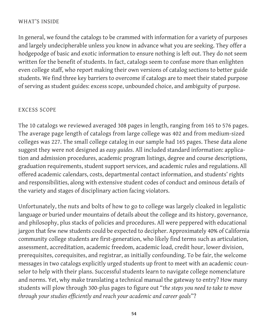#### WHAT'S INSIDE

In general, we found the catalogs to be crammed with information for a variety of purposes and largely undecipherable unless you know in advance what you are seeking. They offer a hodgepodge of basic and exotic information to ensure nothing is left out. They do not seem written for the benefit of students. In fact, catalogs seem to confuse more than enlighten even college staff, who report making their own versions of catalog sections to better guide students. We find three key barriers to overcome if catalogs are to meet their stated purpose of serving as student guides: excess scope, unbounded choice, and ambiguity of purpose.

#### EXCESS SCOPE

The 10 catalogs we reviewed averaged 308 pages in length, ranging from 165 to 576 pages. The average page length of catalogs from large college was 402 and from medium-sized colleges was 227. The small college catalog in our sample had 165 pages. These data alone suggest they were not designed as *easy guides*. All included standard information: application and admission procedures, academic program listings, degree and course descriptions, graduation requirements, student support services, and academic rules and regulations. All offered academic calendars, costs, departmental contact information, and students' rights and responsibilities, along with extensive student codes of conduct and ominous details of the variety and stages of disciplinary action facing violators.

Unfortunately, the nuts and bolts of how to go to college was largely cloaked in legalistic language or buried under mountains of details about the college and its history, governance, and philosophy, plus stacks of policies and procedures. All were peppered with educational jargon that few new students could be expected to decipher. Approximately 40% of California community college students are first-generation, who likely find terms such as articulation, assessment, accreditation, academic freedom, academic load, credit hour, lower division, prerequisites, corequisites, and registrar, as initially confounding. To be fair, the welcome messages in two catalogs explicitly urged students up front to meet with an academic counselor to help with their plans. Successful students learn to navigate college nomenclature and norms. Yet, why make translating a technical manual the gateway to entry? How many students will plow through 300-plus pages to figure out "*the steps you need to take to move through your studies efficiently and reach your academic and career goals*"?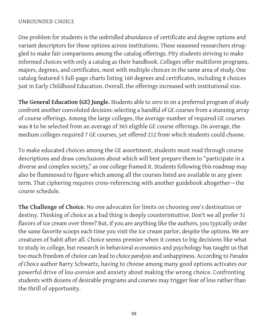#### UNBOUNDED CHOICE

One problem for students is the unbridled abundance of certificate and degree options and variant descriptors for these options across institutions. These seasoned researchers struggled to make fair comparisons among the catalog offerings. Pity students striving to make informed choices with only a catalog as their handbook. Colleges offer multiform programs, majors, degrees, and certificates, most with multiple choices in the same area of study. One catalog featured 5 full-page charts listing 160 degrees and certificates, including 8 choices just in Early Childhood Education. Overall, the offerings increased with institutional size.

**The General Education (GE) Jungle.** Students able to zero in on a preferred program of study confront another convoluted decision: selecting a handful of GE courses from a stunning array of course offerings. Among the large colleges, the average number of required GE courses was 8 to be selected from an average of 365 eligible GE course offerings. On average, the medium colleges required 7 GE courses, yet offered 212 from which students could choose.

To make educated choices among the GE assortment, students must read through course descriptions and draw conclusions about which will best prepare them to "participate in a diverse and complex society," as one college framed it. Students following this roadmap may also be flummoxed to figure which among all the courses listed are available in any given term. That ciphering requires cross-referencing with another guidebook altogether—the course schedule.

**The Challenge of Choice**. No one advocates for limits on choosing one's destination or destiny. Thinking of choice as a bad thing is deeply counterintuitive. Don't we all prefer 31 flavors of ice cream over three? But, if you are anything like the authors, you typically order the same favorite scoops each time you visit the ice cream parlor, despite the options. We are creatures of habit after all. Choice seems premier when it comes to big decisions like what to study in college, but research in behavioral economics and psychology has taught us that too much freedom of choice can lead to *choice paralysis* and unhappiness. According to *Paradox of Choice* author Barry Schwartz, having to choose among many good options activates our powerful drive of *loss aversion* and anxiety about making the wrong choice. Confronting students with dozens of desirable programs and courses may trigger fear of loss rather than the thrill of opportunity.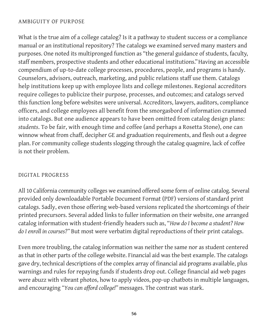#### AMBIGUITY OF PURPOSE

What is the true aim of a college catalog? Is it a pathway to student success or a compliance manual or an institutional repository? The catalogs we examined served many masters and purposes. One noted its multipronged function as "the general guidance of students, faculty, staff members, prospective students and other educational institutions." Having an accessible compendium of up-to-date college processes, procedures, people, and programs is handy. Counselors, advisors, outreach, marketing, and public relations staff use them. Catalogs help institutions keep up with employee lists and college milestones. Regional accreditors require colleges to publicize their purpose, processes, and outcomes; and catalogs served this function long before websites were universal. Accreditors, lawyers, auditors, compliance officers, and college employees all benefit from the smorgasbord of information crammed into catalogs. But one audience appears to have been omitted from catalog design plans: *students*. To be fair, with enough time and coffee (and perhaps a Rosetta Stone), one can winnow wheat from chaff, decipher GE and graduation requirements, and flesh out a degree plan. For community college students slogging through the catalog quagmire, lack of coffee is not their problem.

#### DIGITAL PROGRESS

All 10 California community colleges we examined offered some form of online catalog. Several provided only downloadable Portable Document Format (PDF) versions of standard print catalogs. Sadly, even those offering web-based versions replicated the shortcomings of their printed precursors. Several added links to fuller information on their website, one arranged catalog information with student-friendly headers such as, "*How do I become a student? How do I enroll in courses?"* But most were verbatim digital reproductions of their print catalogs.

Even more troubling, the catalog information was neither the same nor as student centered as that in other parts of the college website. Financial aid was the best example. The catalogs gave dry, technical descriptions of the complex array of financial aid programs available, plus warnings and rules for repaying funds if students drop out. College financial aid web pages were abuzz with vibrant photos, how to apply videos, pop-up chatbots in multiple languages, and encouraging *"You can afford college!"* messages. The contrast was stark.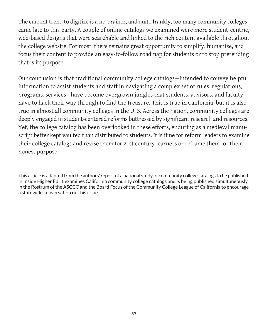The current trend to digitize is a no-brainer, and quite frankly, too many community colleges came late to this party. A couple of online catalogs we examined were more student-centric, web-based designs that were searchable and linked to the rich content available throughout the college website. For most, there remains great opportunity to simplify, humanize, and focus their content to provide an easy-to-follow roadmap for students or to stop pretending that is its purpose.

Our conclusion is that traditional community college catalogs—intended to convey helpful information to assist students and staff in navigating a complex set of rules, regulations, programs, services—have become overgrown jungles that students, advisors, and faculty have to hack their way through to find the treasure. This is true in California, but it is also true in almost all community colleges in the U. S. Across the nation, community colleges are deeply engaged in student-centered reforms buttressed by significant research and resources. Yet, the college catalog has been overlooked in these efforts, enduring as a medieval manuscript better kept vaulted than distributed to students. It is time for reform leaders to examine their college catalogs and revise them for 21st century learners or reframe them for their honest purpose.

This article is adapted from the authors' report of a national study of community college catalogs to be published in Inside Higher Ed. It examines California community college catalogs and is being published simultaneously in the Rostrum of the ASCCC and the Board Focus of the Community College League of California to encourage a statewide conversation on this issue.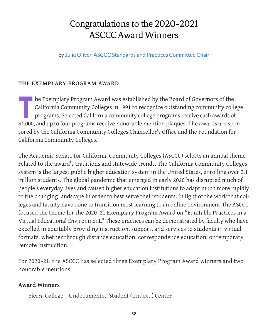# <span id="page-59-0"></span>Congratulations to the 2020-2021 ASCCC Award Winners

by Julie Oliver, ASCCC Standards and Practices Committee Chair

#### **THE EXEMPLARY PROGRAM AWARD**

**The Exemplary Program Award was established by the Board of Governors of the California Community Colleges in 1991 to recognize outstanding community colleges programs. Selected California community college programs recei** California Community Colleges in 1991 to recognize outstanding community college programs. Selected California community college programs receive cash awards of \$4,000, and up to four programs receive honorable mention plaques. The awards are sponsored by the California Community Colleges Chancellor's Office and the Foundation for California Community Colleges.

The Academic Senate for California Community Colleges (ASCCC) selects an annual theme related to the award's traditions and statewide trends. The California Community Colleges system is the largest public higher education system in the United States, enrolling over 2.1 million students. The global pandemic that emerged in early 2020 has disrupted much of people's everyday lives and caused higher education institutions to adapt much more rapidly to the changing landscape in order to best serve their students. In light of the work that colleges and faculty have done to transition most learning to an online environment, the ASCCC focused the theme for the 2020 -21 Exemplary Program Award on "Equitable Practices in a Virtual Educational Environment." These practices can be demonstrated by faculty who have excelled in equitably providing instruction, support, and services to students in virtual formats, whether through distance education, correspondence education, or temporary remote instruction.

For 2020 -21, the ASCCC has selected three Exemplary Program Award winners and two honorable mentions.

## **Award Winners**

Sierra College – Undocumented Student (Undocu) Center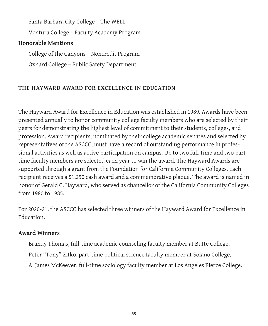Santa Barbara City College – The WELL

Ventura College – Faculty Academy Program

## **Honorable Mentions**

College of the Canyons – Noncredit Program Oxnard College – Public Safety Department

## **THE HAYWARD AWARD FOR EXCELLENCE IN EDUCATION**

The Hayward Award for Excellence in Education was established in 1989. Awards have been presented annually to honor community college faculty members who are selected by their peers for demonstrating the highest level of commitment to their students, colleges, and profession. Award recipients, nominated by their college academic senates and selected by representatives of the ASCCC, must have a record of outstanding performance in professional activities as well as active participation on campus. Up to two full-time and two parttime faculty members are selected each year to win the award. The Hayward Awards are supported through a grant from the Foundation for California Community Colleges. Each recipient receives a \$1,250 cash award and a commemorative plaque. The award is named in honor of Gerald C. Hayward, who served as chancellor of the California Community Colleges from 1980 to 1985.

For 2020-21, the ASCCC has selected three winners of the Hayward Award for Excellence in Education.

#### **Award Winners**

Brandy Thomas, full-time academic counseling faculty member at Butte College. Peter "Tony" Zitko, part-time political science faculty member at Solano College. A. James McKeever, full-time sociology faculty member at Los Angeles Pierce College.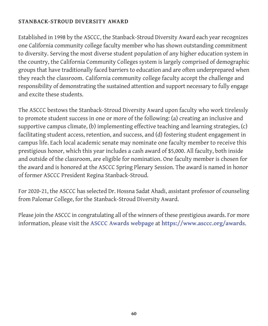#### **STANBACK-STROUD DIVERSITY AWARD**

Established in 1998 by the ASCCC, the Stanback-Stroud Diversity Award each year recognizes one California community college faculty member who has shown outstanding commitment to diversity. Serving the most diverse student population of any higher education system in the country, the California Community Colleges system is largely comprised of demographic groups that have traditionally faced barriers to education and are often underprepared when they reach the classroom. California community college faculty accept the challenge and responsibility of demonstrating the sustained attention and support necessary to fully engage and excite these students.

The ASCCC bestows the Stanback-Stroud Diversity Award upon faculty who work tirelessly to promote student success in one or more of the following: (a) creating an inclusive and supportive campus climate, (b) implementing effective teaching and learning strategies, (c) facilitating student access, retention, and success, and (d) fostering student engagement in campus life. Each local academic senate may nominate one faculty member to receive this prestigious honor, which this year includes a cash award of \$5,000. All faculty, both inside and outside of the classroom, are eligible for nomination. One faculty member is chosen for the award and is honored at the ASCCC Spring Plenary Session. The award is named in honor of former ASCCC President Regina Stanback-Stroud.

For 2020-21, the ASCCC has selected Dr. Hossna Sadat Ahadi, assistant professor of counseling from Palomar College, for the Stanback-Stroud Diversity Award.

Please join the ASCCC in congratulating all of the winners of these prestigious awards. For more information, please visit the **[ASCCC Awards webpage](https://www.asccc.org/awards)** at **<https://www.asccc.org/awards>**.